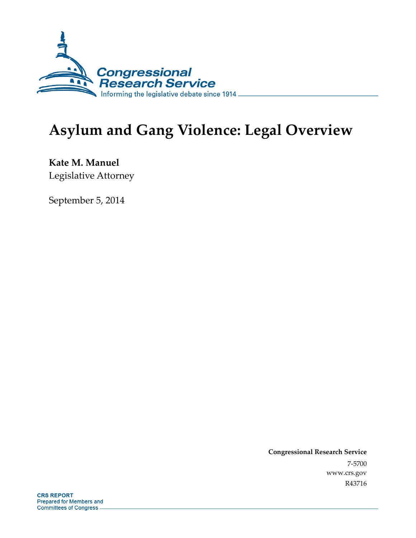

# **Asylum and Gang Violence: Legal Overview**

**Kate M. Manuel**  Legislative Attorney

September 5, 2014

**Congressional Research Service**  7-5700 www.crs.gov R43716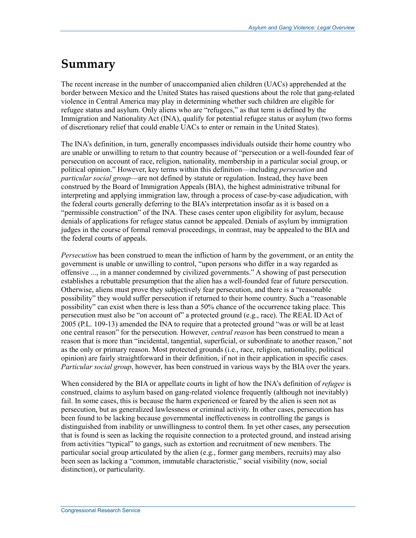## **Summary**

The recent increase in the number of unaccompanied alien children (UACs) apprehended at the border between Mexico and the United States has raised questions about the role that gang-related violence in Central America may play in determining whether such children are eligible for refugee status and asylum. Only aliens who are "refugees," as that term is defined by the Immigration and Nationality Act (INA), qualify for potential refugee status or asylum (two forms of discretionary relief that could enable UACs to enter or remain in the United States).

The INA's definition, in turn, generally encompasses individuals outside their home country who are unable or unwilling to return to that country because of "persecution or a well-founded fear of persecution on account of race, religion, nationality, membership in a particular social group, or political opinion." However, key terms within this definition—including *persecution* and *particular social group*—are not defined by statute or regulation. Instead, they have been construed by the Board of Immigration Appeals (BIA), the highest administrative tribunal for interpreting and applying immigration law, through a process of case-by-case adjudication, with the federal courts generally deferring to the BIA's interpretation insofar as it is based on a "permissible construction" of the INA. These cases center upon eligibility for asylum, because denials of applications for refugee status cannot be appealed. Denials of asylum by immigration judges in the course of formal removal proceedings, in contrast, may be appealed to the BIA and the federal courts of appeals.

*Persecution* has been construed to mean the infliction of harm by the government, or an entity the government is unable or unwilling to control, "upon persons who differ in a way regarded as offensive ..., in a manner condemned by civilized governments." A showing of past persecution establishes a rebuttable presumption that the alien has a well-founded fear of future persecution. Otherwise, aliens must prove they subjectively fear persecution, and there is a "reasonable possibility" they would suffer persecution if returned to their home country. Such a "reasonable possibility" can exist when there is less than a 50% chance of the occurrence taking place. This persecution must also be "on account of" a protected ground (e.g., race). The REAL ID Act of 2005 (P.L. 109-13) amended the INA to require that a protected ground "was or will be at least one central reason" for the persecution. However, *central reason* has been construed to mean a reason that is more than "incidental, tangential, superficial, or subordinate to another reason," not as the only or primary reason. Most protected grounds (i.e., race, religion, nationality, political opinion) are fairly straightforward in their definition, if not in their application in specific cases. *Particular social group*, however, has been construed in various ways by the BIA over the years.

When considered by the BIA or appellate courts in light of how the INA's definition of *refugee* is construed, claims to asylum based on gang-related violence frequently (although not inevitably) fail. In some cases, this is because the harm experienced or feared by the alien is seen not as persecution, but as generalized lawlessness or criminal activity. In other cases, persecution has been found to be lacking because governmental ineffectiveness in controlling the gangs is distinguished from inability or unwillingness to control them. In yet other cases, any persecution that is found is seen as lacking the requisite connection to a protected ground, and instead arising from activities "typical" to gangs, such as extortion and recruitment of new members. The particular social group articulated by the alien (e.g., former gang members, recruits) may also been seen as lacking a "common, immutable characteristic," social visibility (now, social distinction), or particularity.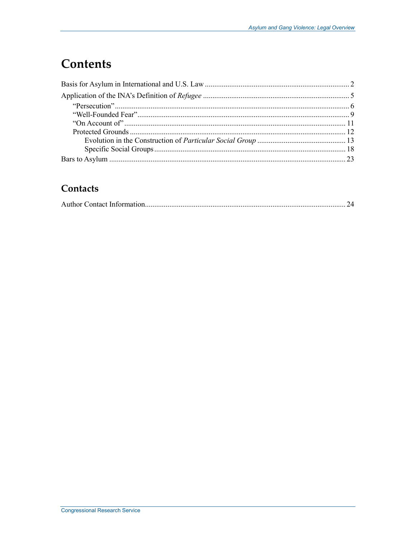## **Contents**

## Contacts

|--|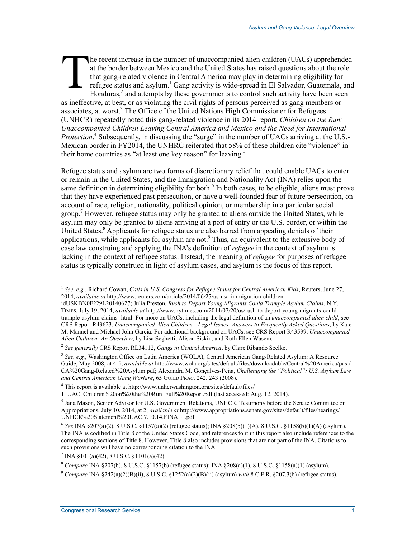he recent increase in the number of unaccompanied alien children (UACs) apprehended at the border between Mexico and the United States has raised questions about the role that gang-related violence in Central America may play in determining eligibility for refugee status and asylum.<sup>1</sup> Gang activity is wide-spread in El Salvador, Guatemala, and Honduras, $<sup>2</sup>$  and attempts by these governments to control such activity have been seen</sup> as ineffective, at best, or as violating the civil rights of persons perceived as gang members or associates, at worst.<sup>3</sup> The Office of the United Nations High Commissioner for Refugees (UNHCR) repeatedly noted this gang-related violence in its 2014 report, *Children on the Run: Unaccompanied Children Leaving Central America and Mexico and the Need for International Protection*.<sup>4</sup> Subsequently, in discussing the "surge" in the number of UACs arriving at the U.S.-Mexican border in FY2014, the UNHRC reiterated that 58% of these children cite "violence" in their home countries as "at least one key reason" for leaving.<sup>5</sup> T

Refugee status and asylum are two forms of discretionary relief that could enable UACs to enter or remain in the United States, and the Immigration and Nationality Act (INA) relies upon the same definition in determining eligibility for both.<sup>6</sup> In both cases, to be eligible, aliens must prove that they have experienced past persecution, or have a well-founded fear of future persecution, on account of race, religion, nationality, political opinion, or membership in a particular social group.7 However, refugee status may only be granted to aliens outside the United States, while asylum may only be granted to aliens arriving at a port of entry or the U.S. border, or within the United States.<sup>8</sup> Applicants for refugee status are also barred from appealing denials of their applications, while applicants for asylum are not.<sup>9</sup> Thus, an equivalent to the extensive body of case law construing and applying the INA's definition of *refugee* in the context of asylum is lacking in the context of refugee status. Instead, the meaning of *refugee* for purposes of refugee status is typically construed in light of asylum cases, and asylum is the focus of this report.

<sup>1</sup> *See, e.g.*, Richard Cowan, *Calls in U.S. Congress for Refugee Status for Central American Kids*, Reuters, June 27, 2014, *available at* http://www.reuters.com/article/2014/06/27/us-usa-immigration-children-

idUSKBN0F229L20140627; Julia Preston, *Rush to Deport Young Migrants Could Trample Asylum Claims*, N.Y. TIMES, July 19, 2014, *available at* http://www.nytimes.com/2014/07/20/us/rush-to-deport-young-migrants-couldtrample-asylum-claims-.html. For more on UACs, including the legal definition of an *unaccompanied alien child*, see CRS Report R43623, *Unaccompanied Alien Children—Legal Issues: Answers to Frequently Asked Questions*, by Kate M. Manuel and Michael John Garcia. For additional background on UACs, see CRS Report R43599, *Unaccompanied Alien Children: An Overview*, by Lisa Seghetti, Alison Siskin, and Ruth Ellen Wasem.

<sup>2</sup> *See generally* CRS Report RL34112, *Gangs in Central America*, by Clare Ribando Seelke.

<sup>3</sup> *See, e.g.*, Washington Office on Latin America (WOLA), Central American Gang-Related Asylum: A Resource Guide, May 2008, at 4-5, *available at* http://www.wola.org/sites/default/files/downloadable/Central%20America/past/ CA%20Gang-Related%20Asylum.pdf; Alexandra M. Gonçalves-Peña, *Challenging the "Political": U.S. Asylum Law and Central American Gang Warfare*, 65 GUILD PRAC. 242, 243 (2008).

<sup>&</sup>lt;sup>4</sup> This report is available at http://www.unhcrwashington.org/sites/default/files/

<sup>1</sup>\_UAC\_Children%20on%20the%20Run\_Full%20Report.pdf (last accessed: Aug. 12, 2014).

<sup>&</sup>lt;sup>5</sup> Jana Mason, Senior Advisor for U.S. Government Relations, UNHCR, Testimony before the Senate Committee on Appropriations, July 10, 2014, at 2, *available at* http://www.appropriations.senate.gov/sites/default/files/hearings/ UNHCR%20Statement%20UAC.7.10.14.FINAL\_.pdf.

 $6$  *See* INA §207(a)(2), 8 U.S.C. §1157(a)(2) (refugee status); INA §208(b)(1)(A), 8 U.S.C. §1158(b)(1)(A) (asylum). The INA is codified in Title 8 of the United States Code, and references to it in this report also include references to the corresponding sections of Title 8. However, Title 8 also includes provisions that are not part of the INA. Citations to such provisions will have no corresponding citation to the INA.

 $7$  INA  $\S 101(a)(42)$ , 8 U.S.C.  $\S 1101(a)(42)$ .

<sup>8</sup> *Compare* INA §207(b), 8 U.S.C. §1157(b) (refugee status); INA §208(a)(1), 8 U.S.C. §1158(a)(1) (asylum).

<sup>&</sup>lt;sup>9</sup> *Compare* INA  $\S 242(a)(2)(B)(ii)$ , 8 U.S.C.  $\S 1252(a)(2)(B)(ii)$  (asylum) *with* 8 C.F.R.  $\S 207.3(b)$  (refugee status).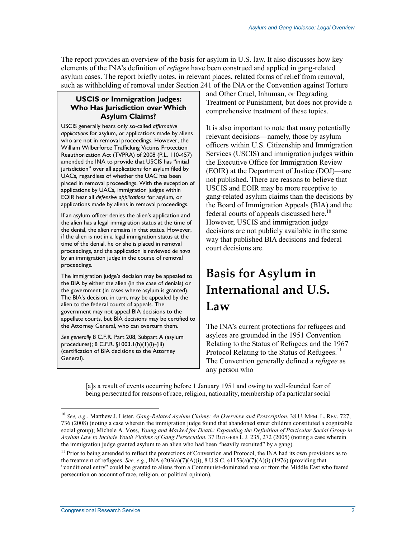The report provides an overview of the basis for asylum in U.S. law. It also discusses how key elements of the INA's definition of *refugee* have been construed and applied in gang-related asylum cases. The report briefly notes, in relevant places, related forms of relief from removal, such as withholding of removal under Section 241 of the INA or the Convention against Torture

### **USCIS or Immigration Judges: Who Has Jurisdiction over Which Asylum Claims?**

USCIS generally hears only so-called *affirmative applications* for asylum, or applications made by aliens who are not in removal proceedings. However, the William Wilberforce Trafficking Victims Protection Reauthorization Act (TVPRA) of 2008 (P.L. 110-457) amended the INA to provide that USCIS has "initial jurisdiction" over all applications for asylum filed by UACs, regardless of whether the UAC has been placed in removal proceedings. With the exception of applications by UACs, immigration judges within EOIR hear all *defensive applications* for asylum, or applications made by aliens in removal proceedings.

If an asylum officer denies the alien's application and the alien has a legal immigration status at the time of the denial, the alien remains in that status. However, if the alien is not in a legal immigration status at the time of the denial, he or she is placed in removal proceedings, and the application is reviewed *de novo* by an immigration judge in the course of removal proceedings.

The immigration judge's decision may be appealed to the BIA by either the alien (in the case of denials) or the government (in cases where asylum is granted). The BIA's decision, in turn, may be appealed by the alien to the federal courts of appeals. The government may not appeal BIA decisions to the appellate courts, but BIA decisions may be certified to the Attorney General, who can overturn them.

*See generally* 8 C.F.R. Part 208, Subpart A (asylum procedures); 8 C.F.R. §1003.1(h)(1)(i)-(iii) (certification of BIA decisions to the Attorney General).

and Other Cruel, Inhuman, or Degrading Treatment or Punishment, but does not provide a comprehensive treatment of these topics.

It is also important to note that many potentially relevant decisions—namely, those by asylum officers within U.S. Citizenship and Immigration Services (USCIS) and immigration judges within the Executive Office for Immigration Review (EOIR) at the Department of Justice (DOJ)—are not published. There are reasons to believe that USCIS and EOIR may be more receptive to gang-related asylum claims than the decisions by the Board of Immigration Appeals (BIA) and the federal courts of appeals discussed here.<sup>10</sup> However, USCIS and immigration judge decisions are not publicly available in the same way that published BIA decisions and federal court decisions are.

## **Basis for Asylum in International and U.S. Law**

The INA's current protections for refugees and asylees are grounded in the 1951 Convention Relating to the Status of Refugees and the 1967 Protocol Relating to the Status of Refugees.<sup>11</sup> The Convention generally defined a *refugee* as any person who

[a]s a result of events occurring before 1 January 1951 and owing to well-founded fear of being persecuted for reasons of race, religion, nationality, membership of a particular social

<sup>10</sup> *See, e.g.*, Matthew J. Lister, *Gang-Related Asylum Claims: An Overview and Prescription*, 38 U. MEM. L. REV. 727, 736 (2008) (noting a case wherein the immigration judge found that abandoned street children constituted a cognizable social group); Michele A. Voss, *Young and Marked for Death: Expanding the Definition of Particular Social Group in Asylum Law to Include Youth Victims of Gang Persecution*, 37 RUTGERS L.J. 235, 272 (2005) (noting a case wherein the immigration judge granted asylum to an alien who had been "heavily recruited" by a gang).

 $11$  Prior to being amended to reflect the protections of Convention and Protocol, the INA had its own provisions as to the treatment of refugees. *See, e.g.*, INA  $\S 203(a)(7)(A)(i)$ , 8 U.S.C.  $\S 1153(a)(7)(A)(i)$  (1976) (providing that "conditional entry" could be granted to aliens from a Communist-dominated area or from the Middle East who feared persecution on account of race, religion, or political opinion).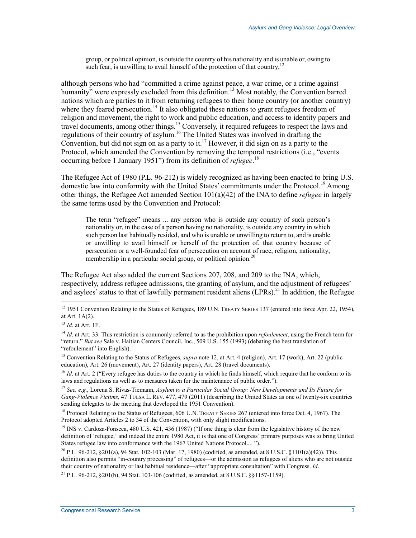group, or political opinion, is outside the country of his nationality and is unable or, owing to such fear, is unwilling to avail himself of the protection of that country, $12$ 

although persons who had "committed a crime against peace, a war crime, or a crime against humanity $\dot{y}$  were expressly excluded from this definition.<sup>13</sup> Most notably, the Convention barred nations which are parties to it from returning refugees to their home country (or another country) where they feared persecution.<sup>14</sup> It also obligated these nations to grant refugees freedom of religion and movement, the right to work and public education, and access to identity papers and travel documents, among other things.15 Conversely, it required refugees to respect the laws and regulations of their country of asylum.16 The United States was involved in drafting the Convention, but did not sign on as a party to it.<sup>17</sup> However, it did sign on as a party to the Protocol, which amended the Convention by removing the temporal restrictions (i.e., "events occurring before 1 January 1951") from its definition of *refugee*. 18

The Refugee Act of 1980 (P.L. 96-212) is widely recognized as having been enacted to bring U.S. domestic law into conformity with the United States' commitments under the Protocol.<sup>19</sup> Among other things, the Refugee Act amended Section 101(a)(42) of the INA to define *refugee* in largely the same terms used by the Convention and Protocol:

The term "refugee" means ... any person who is outside any country of such person's nationality or, in the case of a person having no nationality, is outside any country in which such person last habitually resided, and who is unable or unwilling to return to, and is unable or unwilling to avail himself or herself of the protection of, that country because of persecution or a well-founded fear of persecution on account of race, religion, nationality, membership in a particular social group, or political opinion.<sup>20</sup>

The Refugee Act also added the current Sections 207, 208, and 209 to the INA, which, respectively, address refugee admissions, the granting of asylum, and the adjustment of refugees' and asylees' status to that of lawfully permanent resident aliens (LPRs).<sup>21</sup> In addition, the Refugee

1

<sup>15</sup> Convention Relating to the Status of Refugees, *supra* note 12, at Art. 4 (religion), Art. 17 (work), Art. 22 (public education), Art. 26 (movement), Art. 27 (identity papers), Art. 28 (travel documents).

<sup>16</sup> *Id.* at Art. 2 ("Every refugee has duties to the country in which he finds himself, which require that he conform to its laws and regulations as well as to measures taken for the maintenance of public order.").

<sup>17</sup> *See, e.g.*, Lorena S. Rivas-Tiemann, *Asylum to a Particular Social Group: New Developments and Its Future for Gang-Violence Victims*, 47 TULSA L. REV. 477, 479 (2011) (describing the United States as one of twenty-six countries sending delegates to the meeting that developed the 1951 Convention).

<sup>18</sup> Protocol Relating to the Status of Refugees, 606 U.N. TREATY SERIES 267 (entered into force Oct. 4, 1967). The Protocol adopted Articles 2 to 34 of the Convention, with only slight modifications.

<sup>19</sup> INS v. Cardoza-Fonseca, 480 U.S. 421, 436 (1987) ("If one thing is clear from the legislative history of the new definition of 'refugee,' and indeed the entire 1980 Act, it is that one of Congress' primary purposes was to bring United States refugee law into conformance with the 1967 United Nations Protocol.... ").

<sup>20</sup> P.L. 96-212, §201(a), 94 Stat. 102-103 (Mar. 17, 1980) (codified, as amended, at 8 U.S.C. §1101(a)(42)). This definition also permits "in-country processing" of refugees—or the admission as refugees of aliens who are not outside their country of nationality or last habitual residence—after "appropriate consultation" with Congress. *Id*.

<sup>21</sup> P.L. 96-212, §201(b), 94 Stat. 103-106 (codified, as amended, at 8 U.S.C. §§1157-1159).

 $12$  1951 Convention Relating to the Status of Refugees, 189 U.N. TREATY SERIES 137 (entered into force Apr. 22, 1954), at Art. 1A(2).

<sup>13</sup> *Id*. at Art. 1F.

<sup>&</sup>lt;sup>14</sup> *Id.* at Art. 33. This restriction is commonly referred to as the prohibition upon *refoulement*, using the French term for "return." *But see* Sale v. Haitian Centers Council, Inc., 509 U.S. 155 (1993) (debating the best translation of "refoulement" into English).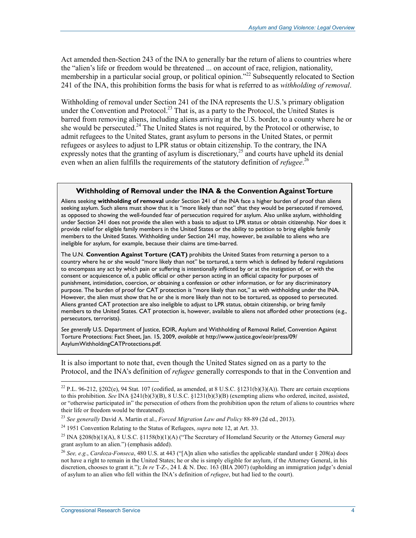Act amended then-Section 243 of the INA to generally bar the return of aliens to countries where the "alien's life or freedom would be threatened ... on account of race, religion, nationality, membership in a particular social group, or political opinion."<sup>22</sup> Subsequently relocated to Section 241 of the INA, this prohibition forms the basis for what is referred to as *withholding of removal*.

Withholding of removal under Section 241 of the INA represents the U.S.'s primary obligation under the Convention and Protocol.<sup>23</sup> That is, as a party to the Protocol, the United States is barred from removing aliens, including aliens arriving at the U.S. border, to a county where he or she would be persecuted.<sup>24</sup> The United States is not required, by the Protocol or otherwise, to admit refugees to the United States, grant asylum to persons in the United States, or permit refugees or asylees to adjust to LPR status or obtain citizenship. To the contrary, the INA expressly notes that the granting of asylum is discretionary, $^{25}$  and courts have upheld its denial even when an alien fulfills the requirements of the statutory definition of *refugee*. 26

#### **Withholding of Removal under the INA & the Convention Against Torture**

Aliens seeking **withholding of removal** under Section 241 of the INA face a higher burden of proof than aliens seeking asylum. Such aliens must show that it is "more likely than not" that they would be persecuted if removed, as opposed to showing the well-founded fear of persecution required for asylum. Also unlike asylum, withholding under Section 241 does not provide the alien with a basis to adjust to LPR status or obtain citizenship. Nor does it provide relief for eligible family members in the United States or the ability to petition to bring eligible family members to the United States. Withholding under Section 241 may, however, be available to aliens who are ineligible for asylum, for example, because their claims are time-barred.

The U.N. **Convention Against Torture (CAT)** prohibits the United States from returning a person to a country where he or she would "more likely than not" be tortured, a term which is defined by federal regulations to encompass any act by which pain or suffering is intentionally inflicted by or at the instigation of, or with the consent or acquiescence of, a public official or other person acting in an official capacity for purposes of punishment, intimidation, coercion, or obtaining a confession or other information, or for any discriminatory .<br>purpose. The burden of proof for CAT protection is "more likely than not," as with withholding under the INA. However, the alien must show that he or she is more likely than not to be tortured, as opposed to persecuted. Aliens granted CAT protection are also ineligible to adjust to LPR status, obtain citizenship, or bring family members to the United States. CAT protection is, however, available to aliens not afforded other protections (e.g., persecutors, terrorists).

*See generally* U.S. Department of Justice, EOIR, Asylum and Withholding of Removal Relief, Convention Against Torture Protections: Fact Sheet, Jan. 15, 2009, *available at* http://www.justice.gov/eoir/press/09/ AsylumWithholdingCATProtections.pdf.

It is also important to note that, even though the United States signed on as a party to the Protocol, and the INA's definition of *refugee* generally corresponds to that in the Convention and

<sup>&</sup>lt;sup>22</sup> P.L. 96-212, §202(e), 94 Stat. 107 (codified, as amended, at 8 U.S.C. §1231(b)(3)(A)). There are certain exceptions to this prohibition. *See* INA §241(b)(3)(B), 8 U.S.C. §1231(b)(3)(B) (exempting aliens who ordered, incited, assisted, or "otherwise participated in" the persecution of others from the prohibition upon the return of aliens to countries where their life or freedom would be threatened).

<sup>23</sup> *See generally* David A. Martin et al., *Forced Migration Law and Policy* 88-89 (2d ed., 2013).

<sup>24 1951</sup> Convention Relating to the Status of Refugees, *supra* note 12, at Art. 33.

<sup>25</sup> INA §208(b)(1)(A), 8 U.S.C. §1158(b)(1)(A) ("The Secretary of Homeland Security or the Attorney General *may* grant asylum to an alien.") (emphasis added).

<sup>26</sup> *See, e.g.*, *Cardoza-Fonseca*, 480 U.S. at 443 ("[A]n alien who satisfies the applicable standard under § 208(a) does not have a right to remain in the United States; he or she is simply eligible for asylum, if the Attorney General, in his discretion, chooses to grant it."); *In re* T-Z-, 24 I. & N. Dec. 163 (BIA 2007) (upholding an immigration judge's denial of asylum to an alien who fell within the INA's definition of *refugee*, but had lied to the court).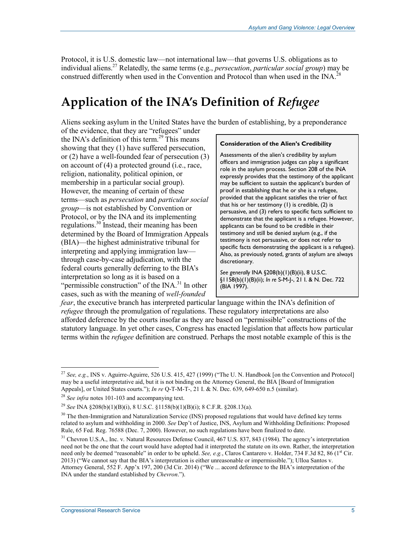Protocol, it is U.S. domestic law—not international law—that governs U.S. obligations as to individual aliens.27 Relatedly, the same terms (e.g., *persecution*, *particular social group*) may be construed differently when used in the Convention and Protocol than when used in the INA.<sup>28</sup>

## **Application of the INA's Definition of** *Refugee*

Aliens seeking asylum in the United States have the burden of establishing, by a preponderance

of the evidence, that they are "refugees" under the INA's definition of this term.<sup>29</sup> This means showing that they (1) have suffered persecution, or (2) have a well-founded fear of persecution (3) on account of (4) a protected ground (i.e., race, religion, nationality, political opinion, or membership in a particular social group). However, the meaning of certain of these terms—such as *persecution* and *particular social group*—is not established by Convention or Protocol, or by the INA and its implementing regulations.30 Instead, their meaning has been determined by the Board of Immigration Appeals (BIA)—the highest administrative tribunal for interpreting and applying immigration law through case-by-case adjudication, with the federal courts generally deferring to the BIA's interpretation so long as it is based on a "permissible construction" of the  $\text{INA.}^{31}$  In other cases, such as with the meaning of *well-founded* 

#### **Consideration of the Alien's Credibility**

Assessments of the alien's credibility by asylum officers and immigration judges can play a significant role in the asylum process. Section 208 of the INA expressly provides that the testimony of the applicant may be sufficient to sustain the applicant's burden of proof in establishing that he or she is a refugee, provided that the applicant satisfies the trier of fact that his or her testimony (1) is credible, (2) is persuasive, and (3) refers to specific facts sufficient to demonstrate that the applicant is a refugee. However, applicants can be found to be credible in their testimony and still be denied asylum (e.g., if the testimony is not persuasive, or does not refer to specific facts demonstrating the applicant is a refugee). Also, as previously noted, grants of asylum are always discretionary.

*See generally* INA §208(b)(1)(B)(ii), 8 U.S.C. §1158(b)(1)(B)(ii); *In re* S-M-J-, 21 I. & N. Dec. 722 (BIA 1997).

*fear*, the executive branch has interpreted particular language within the INA's definition of *refugee* through the promulgation of regulations. These regulatory interpretations are also afforded deference by the courts insofar as they are based on "permissible" constructions of the statutory language. In yet other cases, Congress has enacted legislation that affects how particular terms within the *refugee* definition are construed. Perhaps the most notable example of this is the

<u>.</u>

<sup>27</sup> *See, e.g.*, INS v. Aguirre-Aguirre, 526 U.S. 415, 427 (1999) ("The U. N. Handbook [on the Convention and Protocol] may be a useful interpretative aid, but it is not binding on the Attorney General, the BIA [Board of Immigration Appeals], or United States courts."); *In re* Q-T-M-T-, 21 I. & N. Dec. 639, 649-650 n.5 (similar).

<sup>28</sup> *See infra* notes 101-103 and accompanying text.

<sup>29</sup> *See* INA §208(b)(1)(B)(i), 8 U.S.C. §1158(b)(1)(B)(i); 8 C.F.R. §208.13(a).

 $30$  The then-Immigration and Naturalization Service (INS) proposed regulations that would have defined key terms related to asylum and withholding in 2000. *See* Dep't of Justice, INS, Asylum and Withholding Definitions: Proposed Rule, 65 Fed. Reg. 76588 (Dec. 7, 2000). However, no such regulations have been finalized to date.

<sup>&</sup>lt;sup>31</sup> Chevron U.S.A., Inc. v. Natural Resources Defense Council, 467 U.S. 837, 843 (1984). The agency's interpretation need not be the one that the court would have adopted had it interpreted the statute on its own. Rather, the interpretation need only be deemed "reasonable" in order to be upheld. *See, e.g.*, Claros Cantarero v. Holder, 734 F.3d 82, 86 (1<sup>st</sup> Cir. 2013) ("We cannot say that the BIA's interpretation is either unreasonable or impermissible."); Ulloa Santos v. Attorney General, 552 F. App'x 197, 200 (3d Cir. 2014) ("We ... accord deference to the BIA's interpretation of the INA under the standard established by *Chevron*.").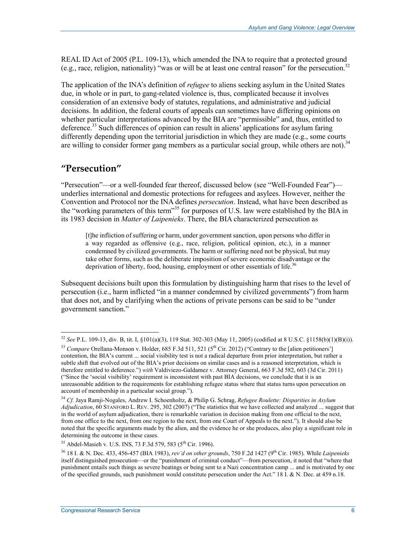REAL ID Act of 2005 (P.L. 109-13), which amended the INA to require that a protected ground (e.g., race, religion, nationality) "was or will be at least one central reason" for the persecution.32

The application of the INA's definition of *refugee* to aliens seeking asylum in the United States due, in whole or in part, to gang-related violence is, thus, complicated because it involves consideration of an extensive body of statutes, regulations, and administrative and judicial decisions. In addition, the federal courts of appeals can sometimes have differing opinions on whether particular interpretations advanced by the BIA are "permissible" and, thus, entitled to deference.<sup>33</sup> Such differences of opinion can result in aliens' applications for asylum faring differently depending upon the territorial jurisdiction in which they are made (e.g., some courts are willing to consider former gang members as a particular social group, while others are not).<sup>34</sup>

## **"Persecution"**

<u>.</u>

"Persecution"—or a well-founded fear thereof, discussed below (see "Well-Founded Fear") underlies international and domestic protections for refugees and asylees. However, neither the Convention and Protocol nor the INA defines *persecution*. Instead, what have been described as the "working parameters of this term"<sup>35</sup> for purposes of U.S. law were established by the BIA in its 1983 decision in *Matter of Laipenieks*. There, the BIA characterized persecution as

[t]he infliction of suffering or harm, under government sanction, upon persons who differ in a way regarded as offensive (e.g., race, religion, political opinion, etc.), in a manner condemned by civilized governments. The harm or suffering need not be physical, but may take other forms, such as the deliberate imposition of severe economic disadvantage or the deprivation of liberty, food, housing, employment or other essentials of life.<sup>36</sup>

Subsequent decisions built upon this formulation by distinguishing harm that rises to the level of persecution (i.e., harm inflicted "in a manner condemned by civilized governments") from harm that does not, and by clarifying when the actions of private persons can be said to be "under government sanction."

<sup>32</sup> *See* P.L. 109-13, div. B, tit. I, §101(a)(3), 119 Stat. 302-303 (May 11, 2005) (codified at 8 U.S.C. §1158(b)(1)(B)(i)).

<sup>&</sup>lt;sup>33</sup> *Compare* Orellana-Monson v. Holder, 685 F.3d 511, 521 (5<sup>th</sup> Cir. 2012) ("Contrary to the [alien petitioners'] contention, the BIA's current ... social visibility test is not a radical departure from prior interpretation, but rather a subtle shift that evolved out of the BIA's prior decisions on similar cases and is a reasoned interpretation, which is therefore entitled to deference.") *with* Valdiviezo-Galdamez v. Attorney General, 663 F.3d 582, 603 (3d Cir. 2011) ("Since the 'social visibility' requirement is inconsistent with past BIA decisions, we conclude that it is an unreasonable addition to the requirements for establishing refugee status where that status turns upon persecution on account of membership in a particular social group.").

<sup>34</sup> *Cf.* Jaya Ramji-Nogales, Andrew I. Schoenholtz, & Philip G. Schrag, *Refugee Roulette: Disparities in Asylum Adjudication*, 60 STANFORD L. REV. 295, 302 (2007) ("The statistics that we have collected and analyzed ... suggest that in the world of asylum adjudication, there is remarkable variation in decision making from one official to the next, from one office to the next, from one region to the next, from one Court of Appeals to the next."). It should also be noted that the specific arguments made by the alien, and the evidence he or she produces, also play a significant role in determining the outcome in these cases.

<sup>&</sup>lt;sup>35</sup> Abdel-Masieh v. U.S. INS, 73 F.3d 579, 583 (5<sup>th</sup> Cir. 1996).

<sup>36 18</sup> I. & N. Dec. 433, 456-457 (BIA 1983), *rev'd on other grounds*, 750 F.2d 1427 (9th Cir. 1985). While *Laipenieks*  itself distinguished prosecution—or the "punishment of criminal conduct"—from persecution, it noted that "where that punishment entails such things as severe beatings or being sent to a Nazi concentration camp ... and is motivated by one of the specified grounds, such punishment would constitute persecution under the Act." 18  $\hat{I}$ . & N. Dec. at 459 n.18.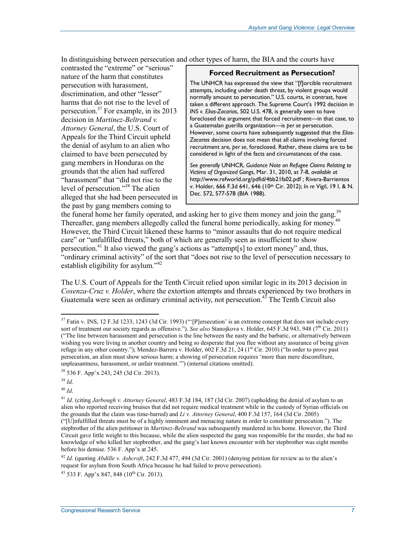In distinguishing between persecution and other types of harm, the BIA and the courts have

contrasted the "extreme" or "serious" nature of the harm that constitutes persecution with harassment, discrimination, and other "lesser" harms that do not rise to the level of persecution.37 For example, in its 2013 decision in *Martinez-Beltrand v. Attorney General*, the U.S. Court of Appeals for the Third Circuit upheld the denial of asylum to an alien who claimed to have been persecuted by gang members in Honduras on the grounds that the alien had suffered "harassment" that "did not rise to the level of persecution."38 The alien alleged that she had been persecuted in the past by gang members coming to

#### **Forced Recruitment as Persecution?**

The UNHCR has expressed the view that "[f]orcible recruitment attempts, including under death threat, by violent groups would normally amount to persecution." U.S. courts, in contrast, have taken a different approach. The Supreme Court's 1992 decision in *INS v. Elias-Zacarias*, 502 U.S. 478, is generally seen to have foreclosed the argument that forced recruitment—in that case, to a Guatemalan guerilla organization—is *per se* persecution. However, some courts have subsequently suggested that the *Elias-Zacarias* decision does not mean that all claims involving forced recruitment are, *per se*, foreclosed. Rather, these claims are to be considered in light of the facts and circumstances of the case.

*See generally* UNHCR, *Guidance Note on Refugee Claims Relating to Victims of Organized Gangs*, Mar. 31, 2010, at 7-8, *available at*  http://www.refworld.org/pdfid/4bb21fa02.pdf ; Rivera-Barrientos v. Holder, 666 F.3d 641, 646 (10th Cir. 2012); *In re* Vigil, 19 I. & N. Dec. 572, 577-578 (BIA 1988).

the funeral home her family operated, and asking her to give them money and join the gang.<sup>39</sup> Thereafter, gang members allegedly called the funeral home periodically, asking for money.<sup>40</sup> However, the Third Circuit likened these harms to "minor assaults that do not require medical care" or "unfulfilled threats," both of which are generally seen as insufficient to show persecution.<sup>41</sup> It also viewed the gang's actions as "attempt[s] to extort money" and, thus, "ordinary criminal activity" of the sort that "does not rise to the level of persecution necessary to establish eligibility for asylum."<sup>42</sup>

The U.S. Court of Appeals for the Tenth Circuit relied upon similar logic in its 2013 decision in *Cosenza-Cruz v. Holder*, where the extortion attempts and threats experienced by two brothers in Guatemala were seen as ordinary criminal activity, not persecution.<sup>45</sup> The Tenth Circuit also

<u>.</u>

<sup>40</sup> *Id*.

 $37$  Fatin v. INS, 12 F.3d 1233, 1243 (3d Cir. 1993) ("[P]ersecution' is an extreme concept that does not include every sort of treatment our society regards as offensive."). *See also* Stanojkova v. Holder, 645 F.3d 943, 948 (7<sup>th</sup> Cir. 2011) ("The line between harassment and persecution is the line between the nasty and the barbaric, or alternatively between wishing you were living in another country and being so desperate that you flee without any assurance of being given refuge in any other country."); Mendez-Barrera v. Holder,  $602$  F.3d  $21$ ,  $24$  ( $1<sup>st</sup>$  Cir. 2010) ("In order to prove past persecution, an alien must show serious harm; a showing of persecution requires 'more than mere discomfiture, unpleasantness, harassment, or unfair treatment.'") (internal citations omitted).

<sup>38 536</sup> F. App'x 243, 245 (3d Cir. 2013).

<sup>39</sup> *Id*.

<sup>41</sup> *Id*. (citing *Jarbough v. Attorney General*, 483 F.3d 184, 187 (3d Cir. 2007) (upholding the denial of asylum to an alien who reported receiving bruises that did not require medical treatment while in the custody of Syrian officials on the grounds that the claim was time-barred) and *Li v. Attorney General*, 400 F.3d 157, 164 (3d Cir. 2005) ("[U]nfulfilled threats must be of a highly imminent and menacing nature in order to constitute persecution."). The stepbrother of the alien petitioner in *Martinez-Beltrand* was subsequently murdered in his home. However, the Third Circuit gave little weight to this because, while the alien suspected the gang was responsible for the murder, she had no knowledge of who killed her stepbrother, and the gang's last known encounter with her stepbrother was eight months before his demise. 536 F. App'x at 245.

<sup>42</sup> *Id*. (quoting *Abdille v. Ashcroft*, 242 F.3d 477, 494 (3d Cir. 2001) (denying petition for review as to the alien's request for asylum from South Africa because he had failed to prove persecution).

 $43$  533 F. App'x 847, 848 (10<sup>th</sup> Cir. 2013).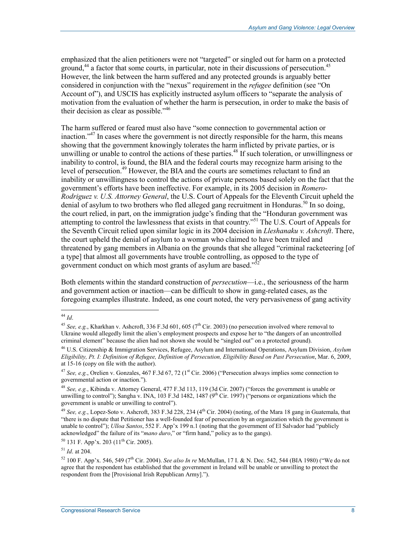emphasized that the alien petitioners were not "targeted" or singled out for harm on a protected ground,<sup>44</sup> a factor that some courts, in particular, note in their discussions of persecution.<sup>45</sup> However, the link between the harm suffered and any protected grounds is arguably better considered in conjunction with the "nexus" requirement in the *refugee* definition (see "On Account of"), and USCIS has explicitly instructed asylum officers to "separate the analysis of motivation from the evaluation of whether the harm is persecution, in order to make the basis of their decision as clear as possible."<sup>46</sup>

The harm suffered or feared must also have "some connection to governmental action or inaction."<sup>47</sup> In cases where the government is not directly responsible for the harm, this means showing that the government knowingly tolerates the harm inflicted by private parties, or is unwilling or unable to control the actions of these parties.<sup>48</sup> If such toleration, or unwillingness or inability to control, is found, the BIA and the federal courts may recognize harm arising to the level of persecution.<sup>49</sup> However, the BIA and the courts are sometimes reluctant to find an inability or unwillingness to control the actions of private persons based solely on the fact that the government's efforts have been ineffective. For example, in its 2005 decision in *Romero-Rodriguez v. U.S. Attorney General*, the U.S. Court of Appeals for the Eleventh Circuit upheld the denial of asylum to two brothers who fled alleged gang recruitment in Honduras.<sup>50</sup> In so doing, the court relied, in part, on the immigration judge's finding that the "Honduran government was attempting to control the lawlessness that exists in that country."51 The U.S. Court of Appeals for the Seventh Circuit relied upon similar logic in its 2004 decision in *Lleshanaku v. Ashcroft*. There, the court upheld the denial of asylum to a woman who claimed to have been trailed and threatened by gang members in Albania on the grounds that she alleged "criminal racketeering [of a type] that almost all governments have trouble controlling, as opposed to the type of government conduct on which most grants of asylum are based."

Both elements within the standard construction of *persecution*—i.e., the seriousness of the harm and government action or inaction—can be difficult to show in gang-related cases, as the foregoing examples illustrate. Indeed, as one court noted, the very pervasiveness of gang activity

<sup>&</sup>lt;u>.</u> <sup>44</sup> *Id*.

<sup>&</sup>lt;sup>45</sup> *See, e.g.*, Kharkhan v. Ashcroft, 336 F.3d 601, 605 (7<sup>th</sup> Cir. 2003) (no persecution involved where removal to Ukraine would allegedly limit the alien's employment prospects and expose her to "the dangers of an uncontrolled criminal element" because the alien had not shown she would be "singled out" on a protected ground).

<sup>46</sup> U.S. Citizenship & Immigration Services, Refugee, Asylum and International Operations, Asylum Division, *Asylum Eligibility, Pt. I: Definition of Refugee, Definition of Persecution, Eligibility Based on Past Persecution*, Mar. 6, 2009, at 15-16 (copy on file with the author).

<sup>&</sup>lt;sup>47</sup> *See, e.g.*, Orelien v. Gonzales, 467 F.3d 67, 72 ( $1<sup>st</sup> Cir. 2006$ ) ("Persecution always implies some connection to governmental action or inaction.").

<sup>48</sup> *See, e.g.*, Kibinda v. Attorney General, 477 F.3d 113, 119 (3d Cir. 2007) ("forces the government is unable or unwilling to control"); Sangha v. INA, 103 F.3d 1482, 1487  $(9^{th}$  Cir. 1997) ("persons or organizations which the government is unable or unwilling to control").

<sup>&</sup>lt;sup>49</sup> *See, e.g.*, Lopez-Soto v. Ashcroft, 383 F.3d 228, 234 (4<sup>th</sup> Cir. 2004) (noting, of the Mara 18 gang in Guatemala, that "there is no dispute that Petitioner has a well-founded fear of persecution by an organization which the government is unable to control"); *Ulloa Santos*, 552 F. App'x 199 n.1 (noting that the government of El Salvador had "publicly acknowledged" the failure of its "*mano duro*," or "firm hand," policy as to the gangs).

 $50$  131 F. App'x. 203 (11<sup>th</sup> Cir. 2005).

<sup>51</sup> *Id*. at 204.

<sup>52 100</sup> F. App'x. 546, 549 (7th Cir. 2004). *See also In re* McMullan, 17 I. & N. Dec. 542, 544 (BIA 1980) ("We do not agree that the respondent has established that the government in Ireland will be unable or unwilling to protect the respondent from the [Provisional Irish Republican Army].").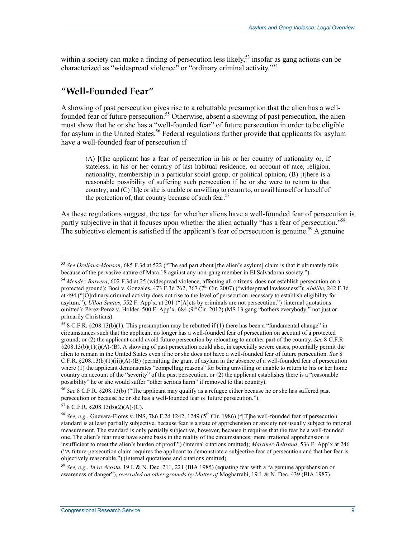within a society can make a finding of persecution less likely,<sup>53</sup> insofar as gang actions can be characterized as "widespread violence" or "ordinary criminal activity."54

## **"Well-Founded Fear"**

A showing of past persecution gives rise to a rebuttable presumption that the alien has a wellfounded fear of future persecution.<sup>55</sup> Otherwise, absent a showing of past persecution, the alien must show that he or she has a "well-founded fear" of future persecution in order to be eligible for asylum in the United States.<sup>56</sup> Federal regulations further provide that applicants for asylum have a well-founded fear of persecution if

(A) [t]he applicant has a fear of persecution in his or her country of nationality or, if stateless, in his or her country of last habitual residence, on account of race, religion, nationality, membership in a particular social group, or political opinion; (B) [t]here is a reasonable possibility of suffering such persecution if he or she were to return to that country; and (C) [h]e or she is unable or unwilling to return to, or avail himself or herself of the protection of, that country because of such fear.<sup>57</sup>

As these regulations suggest, the test for whether aliens have a well-founded fear of persecution is partly subjective in that it focuses upon whether the alien actually "has a fear of persecution."<sup>58</sup> The subjective element is satisfied if the applicant's fear of persecution is genuine.<sup>59</sup> A genuine

<sup>53</sup> *See Orellana-Monson*, 685 F.3d at 522 ("The sad part about [the alien's asylum] claim is that it ultimately fails because of the pervasive nature of Mara 18 against any non-gang member in El Salvadoran society.").

<sup>54</sup> *Mendez-Barrera*, 602 F.3d at 25 (widespread violence, affecting all citizens, does not establish persecution on a protected ground); Boci v. Gonzales, 473 F.3d 762, 767 (7<sup>th</sup> Cir. 2007) ("widespread lawlessness"); *Abdille*, 242 F.3d at 494 ("[O]rdinary criminal activity does not rise to the level of persecution necessary to establish eligibility for asylum."); *Ulloa Santos*, 552 F. App'x. at 201 ("[A]cts by criminals are not persecution.") (internal quotations omitted); Perez-Perez v. Holder, 500 F. App'x. 684 (9<sup>th</sup> Cir. 2012) (MS 13 gang "bothers everybody," not just or primarily Christians).

<sup>&</sup>lt;sup>55</sup> 8 C.F.R. §208.13(b)(1). This presumption may be rebutted if (1) there has been a "fundamental change" in circumstances such that the applicant no longer has a well-founded fear of persecution on account of a protected ground; or (2) the applicant could avoid future persecution by relocating to another part of the country. *See* 8 C.F.R. §208.13(b)(1)(i)(A)-(B). A showing of past persecution could also, in especially severe cases, potentially permit the alien to remain in the United States even if he or she does not have a well-founded fear of future persecution. *See* 8 C.F.R. §208.13(b)(1)(iii)(A)-(B) (permitting the grant of asylum in the absence of a well-founded fear of persecution where (1) the applicant demonstrates "compelling reasons" for being unwilling or unable to return to his or her home country on account of the "severity" of the past persecution, or (2) the applicant establishes there is a "reasonable possibility" he or she would suffer "other serious harm" if removed to that country).

<sup>56</sup> *See* 8 C.F.R. §208.13(b) ("The applicant may qualify as a refugee either because he or she has suffered past persecution or because he or she has a well-founded fear of future persecution.").

 $57$  8 C.F.R. §208.13(b)(2)(A)-(C).

<sup>&</sup>lt;sup>58</sup> See, e.g., Guevara-Flores v. INS, 786 F.2d 1242, 1249 (5<sup>th</sup> Cir. 1986) ("The well-founded fear of persecution standard is at least partially subjective, because fear is a state of apprehension or anxiety not usually subject to rational measurement. The standard is only partially subjective, however, because it requires that the fear be a well-founded one. The alien's fear must have some basis in the reality of the circumstances; mere irrational apprehension is insufficient to meet the alien's burden of proof.") (internal citations omitted); *Martinez-Beltrand*, 536 F. App'x at 246 ("A future-persecution claim requires the applicant to demonstrate a subjective fear of persecution and that her fear is objectively reasonable.") (internal quotations and citations omitted).

<sup>59</sup> *See, e.g.*, *In re Acosta*, 19 I. & N. Dec. 211, 221 (BIA 1985) (equating fear with a "a genuine apprehension or awareness of danger"), *overruled on other grounds by Matter of* Mogharrabi, 19 I. & N. Dec. 439 (BIA 1987).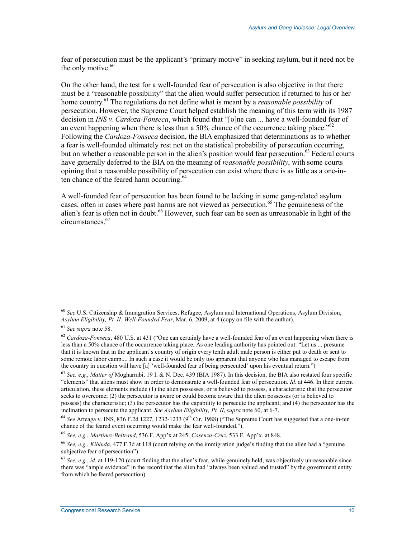fear of persecution must be the applicant's "primary motive" in seeking asylum, but it need not be the only motive.<sup>60</sup>

On the other hand, the test for a well-founded fear of persecution is also objective in that there must be a "reasonable possibility" that the alien would suffer persecution if returned to his or her home country.<sup>61</sup> The regulations do not define what is meant by a *reasonable possibility* of persecution. However, the Supreme Court helped establish the meaning of this term with its 1987 decision in *INS v. Cardoza-Fonseca*, which found that "[o]ne can ... have a well-founded fear of an event happening when there is less than a 50% chance of the occurrence taking place.<sup>562</sup> Following the *Cardoza-Fonseca* decision, the BIA emphasized that determinations as to whether a fear is well-founded ultimately rest not on the statistical probability of persecution occurring, but on whether a reasonable person in the alien's position would fear persecution.<sup>63</sup> Federal courts have generally deferred to the BIA on the meaning of *reasonable possibility*, with some courts opining that a reasonable possibility of persecution can exist where there is as little as a one-inten chance of the feared harm occurring.<sup>64</sup>

A well-founded fear of persecution has been found to be lacking in some gang-related asylum cases, often in cases where past harms are not viewed as persecution.<sup>65</sup> The genuineness of the alien's fear is often not in doubt.<sup>66</sup> However, such fear can be seen as unreasonable in light of the circumstances.67

<sup>60</sup> *See* U.S. Citizenship & Immigration Services, Refugee, Asylum and International Operations, Asylum Division, *Asylum Eligibility, Pt. II: Well-Founded Fear*, Mar. 6, 2009, at 4 (copy on file with the author).

<sup>61</sup> *See supra* note 58.

<sup>62</sup> *Cardoza-Fonseca*, 480 U.S. at 431 ("One can certainly have a well-founded fear of an event happening when there is less than a 50% chance of the occurrence taking place. As one leading authority has pointed out: "Let us ... presume that it is known that in the applicant's country of origin every tenth adult male person is either put to death or sent to some remote labor camp.... In such a case it would be only too apparent that anyone who has managed to escape from the country in question will have [a] 'well-founded fear of being persecuted' upon his eventual return.")

<sup>63</sup> *See, e.g.*, *Matter of* Mogharrabi, 19 I. & N. Dec. 439 (BIA 1987). In this decision, the BIA also restated four specific "elements" that aliens must show in order to demonstrate a well-founded fear of persecution. *Id*. at 446. In their current articulation, these elements include (1) the alien possesses, or is believed to possess, a characteristic that the persecutor seeks to overcome; (2) the persecutor is aware or could become aware that the alien possesses (or is believed to possess) the characteristic; (3) the persecutor has the capability to persecute the applicant; and (4) the persecutor has the inclination to persecute the applicant. *See Asylum Eligibility, Pt. II*, *supra* note 60, at 6-7.

 $64$  *See* Arteaga v. INS, 836 F.2d 1227, 1232-1233 (9<sup>th</sup> Cir. 1988) ("The Supreme Court has suggested that a one-in-ten chance of the feared event occurring would make the fear well-founded.").

<sup>65</sup> *See, e.g.*, *Martinez-Beltrand*, 536 F. App'x at 245; *Cosenza-Cruz*, 533 F. App'x. at 848.

<sup>66</sup> *See, e.g.*, *Kibinda*, 477 F.3d at 118 (court relying on the immigration judge's finding that the alien had a "genuine subjective fear of persecution").

<sup>67</sup> *See, e.g.*, *id*. at 119-120 (court finding that the alien's fear, while genuinely held, was objectively unreasonable since there was "ample evidence" in the record that the alien had "always been valued and trusted" by the government entity from which he feared persecution).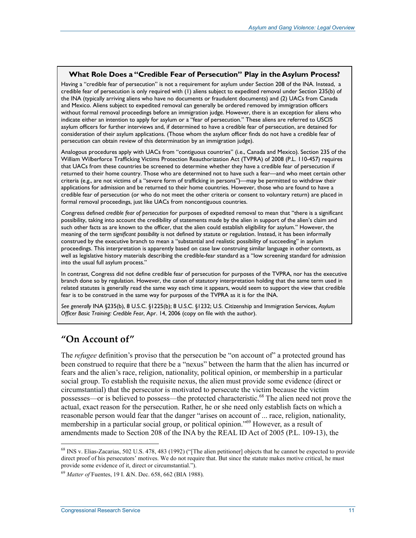#### **What Role Does a "Credible Fear of Persecution" Play in the Asylum Process?**

Having a "credible fear of persecution" is not a requirement for asylum under Section 208 of the INA. Instead, a credible fear of persecution is only required with (1) aliens subject to expedited removal under Section 235(b) of the INA (typically arriving aliens who have no documents or fraudulent documents) and (2) UACs from Canada and Mexico. Aliens subject to expedited removal can generally be ordered removed by immigration officers without formal removal proceedings before an immigration judge. However, there is an exception for aliens who indicate either an intention to apply for asylum or a "fear of persecution." These aliens are referred to USCIS asylum officers for further interviews and, if determined to have a credible fear of persecution, are detained for consideration of their asylum applications. (Those whom the asylum officer finds do not have a credible fear of persecution can obtain review of this determination by an immigration judge).

Analogous procedures apply with UACs from "contiguous countries" (i.e., Canada and Mexico). Section 235 of the William Wilberforce Trafficking Victims Protection Reauthorization Act (TVPRA) of 2008 (P.L. 110-457) requires that UACs from these countries be screened to determine whether they have a credible fear of persecution if returned to their home country. Those who are determined not to have such a fear—and who meet certain other criteria (e.g., are not victims of a "severe form of trafficking in persons")—may be permitted to withdraw their applications for admission and be returned to their home countries. However, those who are found to have a credible fear of persecution (or who do not meet the other criteria or consent to voluntary return) are placed in formal removal proceedings, just like UACs from noncontiguous countries.

Congress defined *credible fear of persecution* for purposes of expedited removal to mean that "there is a significant possibility, taking into account the credibility of statements made by the alien in support of the alien's claim and such other facts as are known to the officer, that the alien could establish eligibility for asylum." However, the meaning of the term *significant possibility* is not defined by statute or regulation. Instead, it has been informally construed by the executive branch to mean a "substantial and realistic possibility of succeeding" in asylum proceedings. This interpretation is apparently based on case law construing similar language in other contexts, as well as legislative history materials describing the credible-fear standard as a "low screening standard for admission into the usual full asylum process."

In contrast, Congress did not define credible fear of persecution for purposes of the TVPRA, nor has the executive branch done so by regulation. However, the canon of statutory interpretation holding that the same term used in related statutes is generally read the same way each time it appears, would seem to support the view that credible fear is to be construed in the same way for purposes of the TVPRA as it is for the INA.

*See generally* INA §235(b), 8 U.S.C. §1225(b); 8 U.S.C. §1232; U.S. Citizenship and Immigration Services, *Asylum Officer Basic Training: Credible Fear*, Apr. 14, 2006 (copy on file with the author).

## **"On Account of"**

The *refugee* definition's proviso that the persecution be "on account of" a protected ground has been construed to require that there be a "nexus" between the harm that the alien has incurred or fears and the alien's race, religion, nationality, political opinion, or membership in a particular social group. To establish the requisite nexus, the alien must provide some evidence (direct or circumstantial) that the persecutor is motivated to persecute the victim because the victim possesses—or is believed to possess—the protected characteristic.<sup>68</sup> The alien need not prove the actual, exact reason for the persecution. Rather, he or she need only establish facts on which a reasonable person would fear that the danger "arises on account of ... race, religion, nationality, membership in a particular social group, or political opinion."<sup>69</sup> However, as a result of amendments made to Section 208 of the INA by the REAL ID Act of 2005 (P.L. 109-13), the

<sup>&</sup>lt;sup>68</sup> INS v. Elias-Zacarias, 502 U.S. 478, 483 (1992) ("[The alien petitioner] objects that he cannot be expected to provide direct proof of his persecutors' motives. We do not require that. But since the statute makes motive critical, he must provide some evidence of it, direct or circumstantial.").

<sup>69</sup> *Matter of* Fuentes, 19 I. &N. Dec. 658, 662 (BIA 1988).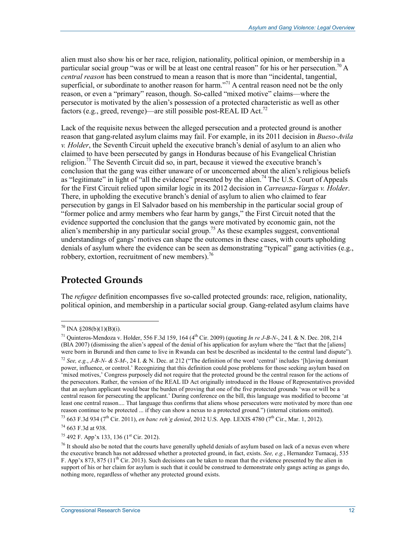alien must also show his or her race, religion, nationality, political opinion, or membership in a particular social group "was or will be at least one central reason" for his or her persecution.<sup>70</sup> A *central reason* has been construed to mean a reason that is more than "incidental, tangential, superficial, or subordinate to another reason for harm.<sup> $2^{71}$ </sup> A central reason need not be the only reason, or even a "primary" reason, though. So-called "mixed motive" claims—where the persecutor is motivated by the alien's possession of a protected characteristic as well as other factors (e.g., greed, revenge)—are still possible post-REAL ID Act.<sup>72</sup>

Lack of the requisite nexus between the alleged persecution and a protected ground is another reason that gang-related asylum claims may fail. For example, in its 2011 decision in *Bueso-Avila v. Holder*, the Seventh Circuit upheld the executive branch's denial of asylum to an alien who claimed to have been persecuted by gangs in Honduras because of his Evangelical Christian religion.<sup>73</sup> The Seventh Circuit did so, in part, because it viewed the executive branch's conclusion that the gang was either unaware of or unconcerned about the alien's religious beliefs as "legitimate" in light of "all the evidence" presented by the alien.<sup>74</sup> The U.S. Court of Appeals for the First Circuit relied upon similar logic in its 2012 decision in *Carreanza-Vargas v. Holder*. There, in upholding the executive branch's denial of asylum to alien who claimed to fear persecution by gangs in El Salvador based on his membership in the particular social group of "former police and army members who fear harm by gangs," the First Circuit noted that the evidence supported the conclusion that the gangs were motivated by economic gain, not the alien's membership in any particular social group.<sup>75</sup> As these examples suggest, conventional understandings of gangs' motives can shape the outcomes in these cases, with courts upholding denials of asylum where the evidence can be seen as demonstrating "typical" gang activities (e.g., robbery, extortion, recruitment of new members).<sup>76</sup>

## **Protected Grounds**

The *refugee* definition encompasses five so-called protected grounds: race, religion, nationality, political opinion, and membership in a particular social group. Gang-related asylum claims have

1

 $74$  663 F.3d at 938.

 $75$  492 F. App'x 133, 136 (1<sup>st</sup> Cir. 2012).

 $70$  INA §208(b)(1)(B)(i).

<sup>71</sup> Quinteros-Mendoza v. Holder, 556 F.3d 159, 164 (4th Cir. 2009) (quoting *In re J-B-N-*, 24 I. & N. Dec. 208, 214 (BIA 2007) (dismissing the alien's appeal of the denial of his application for asylum where the "fact that the [aliens] were born in Burundi and then came to live in Rwanda can best be described as incidental to the central land dispute"). <sup>72</sup> *See, e.g., J-B-N- & S-M-*, 24 I. & N. Dec. at 212 ("The definition of the word 'central' includes '[h]aving dominant power, influence, or control.' Recognizing that this definition could pose problems for those seeking asylum based on 'mixed motives,' Congress purposely did not require that the protected ground be the central reason for the actions of the persecutors. Rather, the version of the REAL ID Act originally introduced in the House of Representatives provided that an asylum applicant would bear the burden of proving that one of the five protected grounds 'was or will be a central reason for persecuting the applicant.' During conference on the bill, this language was modified to become 'at least one central reason.... That language thus confirms that aliens whose persecutors were motivated by more than one reason continue to be protected ... if they can show a nexus to a protected ground.") (internal citations omitted).

<sup>73 663</sup> F.3d 934 (7th Cir. 2011), *en banc reh'g denied*, 2012 U.S. App. LEXIS 4780 (7th Cir., Mar. 1, 2012).

 $<sup>76</sup>$  It should also be noted that the courts have generally upheld denials of asylum based on lack of a nexus even where</sup> the executive branch has not addressed whether a protected ground, in fact, exists. *See, e.g.*, Hernandez Tumacaj, 535 F. App'x 873, 875 ( $11<sup>th</sup>$  Cir. 2013). Such decisions can be taken to mean that the evidence presented by the alien in support of his or her claim for asylum is such that it could be construed to demonstrate only gangs acting as gangs do, nothing more, regardless of whether any protected ground exists.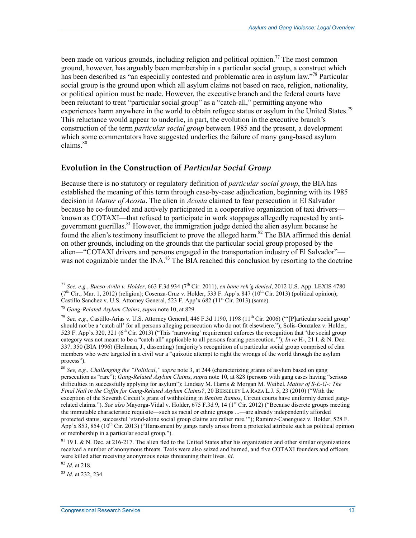been made on various grounds, including religion and political opinion.<sup>77</sup> The most common ground, however, has arguably been membership in a particular social group, a construct which has been described as "an especially contested and problematic area in asylum law."<sup>78</sup> Particular social group is the ground upon which all asylum claims not based on race, religion, nationality, or political opinion must be made. However, the executive branch and the federal courts have been reluctant to treat "particular social group" as a "catch-all," permitting anyone who experiences harm anywhere in the world to obtain refugee status or asylum in the United States.<sup>79</sup> This reluctance would appear to underlie, in part, the evolution in the executive branch's construction of the term *particular social group* between 1985 and the present, a development which some commentators have suggested underlies the failure of many gang-based asylum claims. $80$ 

### **Evolution in the Construction of** *Particular Social Group*

Because there is no statutory or regulatory definition of *particular social group*, the BIA has established the meaning of this term through case-by-case adjudication, beginning with its 1985 decision in *Matter of Acosta*. The alien in *Acosta* claimed to fear persecution in El Salvador because he co-founded and actively participated in a cooperative organization of taxi drivers known as COTAXI—that refused to participate in work stoppages allegedly requested by antigovernment guerillas.<sup>81</sup> However, the immigration judge denied the alien asylum because he found the alien's testimony insufficient to prove the alleged harm.<sup>82</sup> The BIA affirmed this denial on other grounds, including on the grounds that the particular social group proposed by the alien—"COTAXI drivers and persons engaged in the transportation industry of El Salvador" was not cognizable under the INA.<sup>83</sup> The BIA reached this conclusion by resorting to the doctrine

<sup>82</sup> *Id*. at 218.

<sup>83</sup> *Id*. at 232, 234.

<sup>1</sup> <sup>77</sup> *See, e.g.*, *Bueso-Avila v. Holder*, 663 F.3d 934 (7th Cir. 2011), *en banc reh'g denied*, 2012 U.S. App. LEXIS 4780  $(7<sup>th</sup> Cir., Mar. 1, 2012)$  (religion); Cosenza-Cruz v. Holder, 533 F. App'x 847 (10<sup>th</sup> Cir. 2013) (political opinion); Castillo Sanchez v. U.S. Attorney General, 523 F. App'x 682 (11<sup>th</sup> Cir. 2013) (same).

<sup>78</sup> *Gang-Related Asylum Claims*, *supra* note 10, at 829.

<sup>79</sup> *See, e.g.*, Castillo-Arias v. U.S. Attorney General, 446 F.3d 1190, 1198 (11th Cir. 2006) ("'[P]articular social group' should not be a 'catch all' for all persons alleging persecution who do not fit elsewhere."); Solis-Gonzalez v. Holder, 523 F. App'x 320, 321 ( $6<sup>th</sup>$  Cir. 2013) ("This 'narrowing' requirement enforces the recognition that 'the social group category was not meant to be a "catch all" applicable to all persons fearing persecution.'"); *In re* H-, 21 I. & N. Dec. 337, 350 (BIA 1996) (Heilman, J., dissenting) (majority's recognition of a particular social group comprised of clan members who were targeted in a civil war a "quixotic attempt to right the wrongs of the world through the asylum process").

<sup>80</sup> *See, e.g.*, *Challenging the "Political*,*" supra* note 3, at 244 (characterizing grants of asylum based on gang persecution as "rare"); *Gang-Related Asylum Claims*, *supra* note 10, at 828 (persons with gang cases having "serious difficulties in successfully applying for asylum"); Lindsay M. Harris & Morgan M. Weibel, *Matter of S-E-G-: The Final Nail in the Coffin for Gang-Related Asylum Claims?*, 20 BERKELEY LA RAZA L.J. 5, 23 (2010) ("With the exception of the Seventh Circuit's grant of withholding in *Benitez Ramos*, Circuit courts have uniformly denied gangrelated claims."). *See also* Mayorga-Vidal v. Holder, 675 F.3d 9, 14 (1<sup>st</sup> Cir. 2012) ("Because discrete groups meeting the immutable characteristic requisite—such as racial or ethnic groups ...—are already independently afforded protected status, successful 'stand-alone social group claims are rather rare.'"); Ramirez-Canenguez v. Holder, 528 F. App'x 853, 854 (10<sup>th</sup> Cir. 2013) ("Harassment by gangs rarely arises from a protected attribute such as political opinion or membership in a particular social group.").

<sup>&</sup>lt;sup>81</sup> 19 I. & N. Dec. at 216-217. The alien fled to the United States after his organization and other similar organizations received a number of anonymous threats. Taxis were also seized and burned, and five COTAXI founders and officers were killed after receiving anonymous notes threatening their lives. *Id*.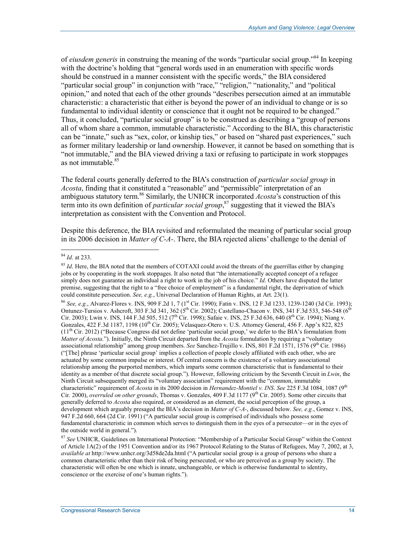of *eiusdem generis* in construing the meaning of the words "particular social group."84 In keeping with the doctrine's holding that "general words used in an enumeration with specific words should be construed in a manner consistent with the specific words," the BIA considered "particular social group" in conjunction with "race," "religion," "nationality," and "political opinion," and noted that each of the other grounds "describes persecution aimed at an immutable characteristic: a characteristic that either is beyond the power of an individual to change or is so fundamental to individual identity or conscience that it ought not be required to be changed." Thus, it concluded, "particular social group" is to be construed as describing a "group of persons all of whom share a common, immutable characteristic." According to the BIA, this characteristic can be "innate," such as "sex, color, or kinship ties," or based on "shared past experiences," such as former military leadership or land ownership. However, it cannot be based on something that is "not immutable," and the BIA viewed driving a taxi or refusing to participate in work stoppages as not immutable <sup>85</sup>

The federal courts generally deferred to the BIA's construction of *particular social group* in *Acosta*, finding that it constituted a "reasonable" and "permissible" interpretation of an ambiguous statutory term.<sup>86</sup> Similarly, the UNHCR incorporated *Acosta*'s construction of this term into its own definition of *particular social group*, 87 suggesting that it viewed the BIA's interpretation as consistent with the Convention and Protocol.

Despite this deference, the BIA revisited and reformulated the meaning of particular social group in its 2006 decision in *Matter of C-A-*. There, the BIA rejected aliens' challenge to the denial of

86 *See, e.g.*, Alvarez-Flores v. INS, 909 F.2d 1, 7 (1<sup>st</sup> Cir. 1990); Fatin v. INS, 12 F.3d 1233, 1239-1240 (3d Cir. 1993); Ontunez-Tursios v. Ashcroft, 303 F.3d 341, 362 ( $5^{th}$  Cir. 2002); Castellano-Chacon v. INS, 341 F.3d 533, 546-548 ( $6^{th}$ ) Cir. 2003); Lwin v. INS, 144 F.3d 505, 512 (7<sup>th</sup> Cir. 1998); Safaie v. INS, 25 F.3d 636, 640 (8<sup>th</sup> Cir. 1994); Niang v. Gonzales,  $422$  F.3d 1187, 1198 (10<sup>th</sup> Cir. 2005); Velasquez-Otero v. U.S. Attorney General,  $456$  F. App'x 822, 825  $(11<sup>th</sup> Cir. 2012)$  ("Because Congress did not define 'particular social group,' we defer to the BIA's formulation from *Matter of Acosta*."). Initially, the Ninth Circuit departed from the *Acosta* formulation by requiring a "voluntary associational relationship" among group members. *See* Sanchez-Trujillo v. INS, 801 F.2d 1571, 1576 (9<sup>th</sup> Cir. 1986) ("[The] phrase 'particular social group' implies a collection of people closely affiliated with each other, who are actuated by some common impulse or interest. Of central concern is the existence of a voluntary associational relationship among the purported members, which imparts some common characteristic that is fundamental to their identity as a member of that discrete social group."). However, following criticism by the Seventh Circuit in *Lwin*, the Ninth Circuit subsequently merged its "voluntary association" requirement with the "common, immutable characteristic" requirement of *Acosta* in its 2000 decision in *Hernandez-Montiel v. INS*. *See* 225 F.3d 1084, 1087 (9th Cir. 2000), *overruled on other grounds*, Thomas v. Gonzales, 409 F.3d 1177 (9<sup>th</sup> Cir. 2005). Some other circuits that generally deferred to *Acosta* also required, or considered as an element, the social perception of the group, a development which arguably presaged the BIA's decision in *Matter of C-A-*, discussed below. *See, e.g.*, Gomez v. INS, 947 F.2d 660, 664 (2d Cir. 1991) ("A particular social group is comprised of individuals who possess some fundamental characteristic in common which serves to distinguish them in the eyes of a persecutor—or in the eyes of the outside world in general.").

<sup>&</sup>lt;u>.</u> <sup>84</sup> *Id*. at 233.

<sup>&</sup>lt;sup>85</sup> *Id*. Here, the BIA noted that the members of COTAXI could avoid the threats of the guerrillas either by changing jobs or by cooperating in the work stoppages. It also noted that "the internationally accepted concept of a refugee simply does not guarantee an individual a right to work in the job of his choice." *Id*. Others have disputed the latter premise, suggesting that the right to a "free choice of employment" is a fundamental right, the deprivation of which could constitute persecution. *See, e.g.*, Universal Declaration of Human Rights, at Art. 23(1).

<sup>87</sup> *See* UNHCR, Guidelines on International Protection: "Membership of a Particular Social Group" within the Context of Article 1A(2) of the 1951 Convention and/or its 1967 Protocol Relating to the Status of Refugees, May 7, 2002, at 3, *available at* http://www.unhcr.org/3d58de2da.html ("A particular social group is a group of persons who share a common characteristic other than their risk of being persecuted, or who are perceived as a group by society. The characteristic will often be one which is innate, unchangeable, or which is otherwise fundamental to identity, conscience or the exercise of one's human rights.").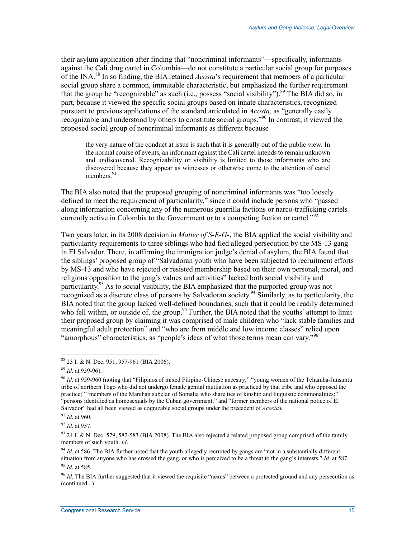their asylum application after finding that "noncriminal informants"—specifically, informants against the Cali drug cartel in Columbia—do not constitute a particular social group for purposes of the INA.88 In so finding, the BIA retained *Acosta*'s requirement that members of a particular social group share a common, immutable characteristic, but emphasized the further requirement that the group be "recognizable" as such (i.e., possess "social visibility"). <sup>89</sup> The BIA did so, in part, because it viewed the specific social groups based on innate characteristics, recognized pursuant to previous applications of the standard articulated in *Acosta*, as "generally easily recognizable and understood by others to constitute social groups."<sup>90</sup> In contrast, it viewed the proposed social group of noncriminal informants as different because

the very nature of the conduct at issue is such that it is generally out of the public view. In the normal course of events, an informant against the Cali cartel intends to remain unknown and undiscovered. Recognizability or visibility is limited to those informants who are discovered because they appear as witnesses or otherwise come to the attention of cartel members.<sup>91</sup>

The BIA also noted that the proposed grouping of noncriminal informants was "too loosely defined to meet the requirement of particularity," since it could include persons who "passed along information concerning any of the numerous guerrilla factions or narco-trafficking cartels currently active in Colombia to the Government or to a competing faction or cartel.<sup> $292$ </sup>

Two years later, in its 2008 decision in *Matter of S-E-G-*, the BIA applied the social visibility and particularity requirements to three siblings who had fled alleged persecution by the MS-13 gang in El Salvador. There, in affirming the immigration judge's denial of asylum, the BIA found that the siblings' proposed group of "Salvadoran youth who have been subjected to recruitment efforts by MS-13 and who have rejected or resisted membership based on their own personal, moral, and religious opposition to the gang's values and activities" lacked both social visibility and particularity.<sup>93</sup> As to social visibility, the BIA emphasized that the purported group was not recognized as a discrete class of persons by Salvadoran society.<sup>94</sup> Similarly, as to particularity, the BIA noted that the group lacked well-defined boundaries, such that it could be readily determined who fell within, or outside of, the group.<sup>95</sup> Further, the BIA noted that the youths' attempt to limit their proposed group by claiming it was comprised of male children who "lack stable families and meaningful adult protection" and "who are from middle and low income classes" relied upon "amorphous" characteristics, as "people's ideas of what those terms mean can vary."<sup>96</sup>

1

<sup>92</sup> *Id*. at 957.

<sup>88 23</sup> I. & N. Dec. 951, 957-961 (BIA 2006).

<sup>89</sup> *Id*. at 959-961.

<sup>&</sup>lt;sup>90</sup> *Id.* at 959-960 (noting that "Filipinos of mixed Filipino-Chinese ancestry;" "young women of the Tchamba-Junsuntu tribe of northern Togo who did not undergo female genital mutilation as practiced by that tribe and who opposed the practice;" "members of the Marehan subclan of Somalia who share ties of kinship and linguistic commonalities;" "persons identified as homosexuals by the Cuban government;" and "former members of the national police of El Salvador" had all been viewed as cognizable social groups under the precedent of *Acosta*).

<sup>91</sup> *Id*. at 960.

<sup>93 24</sup> I. & N. Dec. 579, 582-583 (BIA 2008). The BIA also rejected a related proposed group comprised of the family members of such youth. *Id*.

<sup>&</sup>lt;sup>94</sup> *Id.* at 586. The BIA further noted that the youth allegedly recruited by gangs are "not in a substantially different situation from anyone who has crossed the gang, or who is perceived to be a threat to the gang's interests." *Id*. at 587. <sup>95</sup> *Id*. at 585.

<sup>96</sup> *Id*. The BIA further suggested that it viewed the requisite "nexus" between a protected ground and any persecution as (continued...)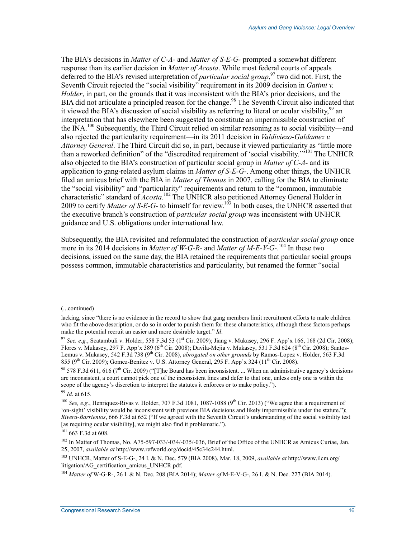The BIA's decisions in *Matter of C-A-* and *Matter of S-E-G-* prompted a somewhat different response than its earlier decision in *Matter of Acosta*. While most federal courts of appeals deferred to the BIA's revised interpretation of *particular social group*, 97 two did not. First, the Seventh Circuit rejected the "social visibility" requirement in its 2009 decision in *Gatimi v. Holder*, in part, on the grounds that it was inconsistent with the BIA's prior decisions, and the BIA did not articulate a principled reason for the change.<sup>98</sup> The Seventh Circuit also indicated that it viewed the BIA's discussion of social visibility as referring to literal or ocular visibility,  $99$  an interpretation that has elsewhere been suggested to constitute an impermissible construction of the INA.<sup>100</sup> Subsequently, the Third Circuit relied on similar reasoning as to social visibility—and also rejected the particularity requirement—in its 2011 decision in *Valdiviezo-Galdamez v. Attorney General*. The Third Circuit did so, in part, because it viewed particularity as "little more than a reworked definition" of the "discredited requirement of 'social visability."<sup>5101</sup> The UNHCR also objected to the BIA's construction of particular social group in *Matter of C-A-* and its application to gang-related asylum claims in *Matter of S-E-G*-. Among other things, the UNHCR filed an amicus brief with the BIA in *Matter of Thomas* in 2007, calling for the BIA to eliminate the "social visibility" and "particularity" requirements and return to the "common, immutable characteristic" standard of *Acosta*. 102 The UNHCR also petitioned Attorney General Holder in 2009 to certify *Matter of S-E-G-* to himself for review.103 In both cases, the UNHCR asserted that the executive branch's construction of *particular social group* was inconsistent with UNHCR guidance and U.S. obligations under international law.

Subsequently, the BIA revisited and reformulated the construction of *particular social group* once more in its 2014 decisions in *Matter of W-G-R-* and *Matter of M-E-V-G-*.<sup>104</sup> In these two decisions, issued on the same day, the BIA retained the requirements that particular social groups possess common, immutable characteristics and particularity, but renamed the former "social

<sup>(...</sup>continued)

lacking, since "there is no evidence in the record to show that gang members limit recruitment efforts to male children who fit the above description, or do so in order to punish them for these characteristics, although these factors perhaps make the potential recruit an easier and more desirable target." *Id*.

<sup>97</sup> *See, e.g.*, Scatambuli v. Holder, 558 F.3d 53 (1st Cir. 2009); Jiang v. Mukasey, 296 F. App'x 166, 168 (2d Cir. 2008); Flores v. Mukasey, 297 F. App'x 389 (6<sup>th</sup> Cir. 2008); Davila-Mejia v. Mukasey, 531 F.3d 624 (8<sup>th</sup> Cir. 2008); Santos-Lemus v. Mukasey, 542 F.3d 738 (9<sup>th</sup> Cir. 2008), *abrogated on other grounds* by Ramos-Lopez v. Holder, 563 F.3d 855 (9<sup>th</sup> Cir. 2009); Gomez-Benitez v. U.S. Attorney General, 295 F. App'x 324 (11<sup>th</sup> Cir. 2008).

<sup>&</sup>lt;sup>98</sup> 578 F.3d 611, 616 (7<sup>th</sup> Cir. 2009) ("The Board has been inconsistent. ... When an administrative agency's decisions are inconsistent, a court cannot pick one of the inconsistent lines and defer to that one, unless only one is within the scope of the agency's discretion to interpret the statutes it enforces or to make policy.").

<sup>99</sup> *Id*. at 615.

<sup>&</sup>lt;sup>100</sup> *See, e.g.*, Henriquez-Rivas v. Holder, 707 F.3d 1081, 1087-1088 (9<sup>th</sup> Cir. 2013) ("We agree that a requirement of 'on-sight' visibility would be inconsistent with previous BIA decisions and likely impermissible under the statute."); *Rivera-Barrientos*, 666 F.3d at 652 ("If we agreed with the Seventh Circuit's understanding of the social visibility test [as requiring ocular visibility], we might also find it problematic.").

<sup>101 663</sup> F.3d at 608.

<sup>&</sup>lt;sup>102</sup> In Matter of Thomas, No. A75-597-033/-034/-035/-036, Brief of the Office of the UNHCR as Amicus Curiae, Jan. 25, 2007, *available at* http://www.refworld.org/docid/45c34c244.html.

<sup>103</sup> UNHCR, Matter of S-E-G-, 24 I. & N. Dec. 579 (BIA 2008), Mar. 18, 2009, *available at* http://www.ilcm.org/ litigation/AG\_certification\_amicus\_UNHCR.pdf.

<sup>104</sup> *Matter of* W-G-R-, 26 I. & N. Dec. 208 (BIA 2014); *Matter of* M-E-V-G-, 26 I. & N. Dec. 227 (BIA 2014).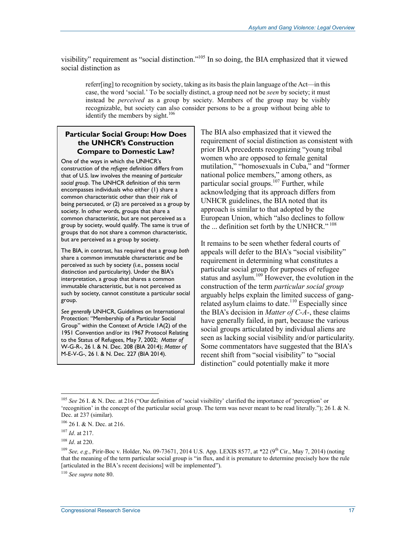visibility" requirement as "social distinction."105 In so doing, the BIA emphasized that it viewed social distinction as

referr[ing] to recognition by society, taking as its basis the plain language of the Act—in this case, the word 'social.' To be socially distinct, a group need not be *seen* by society; it must instead be *perceived* as a group by society. Members of the group may be visibly recognizable, but society can also consider persons to be a group without being able to identify the members by sight.<sup>106</sup>

#### **Particular Social Group: How Does the UNHCR's Construction Compare to Domestic Law?**

One of the ways in which the UNHCR's construction of the *refugee* definition differs from that of U.S. law involves the meaning of *particular social group*. The UNHCR definition of this term encompasses individuals who either (1) share a common characteristic other than their risk of being persecuted, *or* (2) are perceived as a group by society. In other words, groups that share a common characteristic, but are not perceived as a group by society, would qualify. The same is true of groups that do not share a common characteristic, but are perceived as a group by society.

The BIA, in contrast, has required that a group *both*  share a common immutable characteristic *and* be perceived as such by society (i.e., possess social distinction and particularity). Under the BIA's interpretation, a group that shares a common immutable characteristic, but is not perceived as such by society, cannot constitute a particular social group.

*See generally* UNHCR, Guidelines on International Protection: "Membership of a Particular Social Group" within the Context of Article 1A(2) of the 1951 Convention and/or its 1967 Protocol Relating to the Status of Refugees, May 7, 2002; *Matter of*  W-G-R-, 26 I. & N. Dec. 208 (BIA 2014); *Matter of*  M-E-V-G-, 26 I. & N. Dec. 227 (BIA 2014).

The BIA also emphasized that it viewed the requirement of social distinction as consistent with prior BIA precedents recognizing "young tribal women who are opposed to female genital mutilation," "homosexuals in Cuba," and "former national police members," among others, as particular social groups.<sup>107</sup> Further, while acknowledging that its approach differs from UNHCR guidelines, the BIA noted that its approach is similar to that adopted by the European Union, which "also declines to follow the ... definition set forth by the UNHCR."<sup>108</sup>

It remains to be seen whether federal courts of appeals will defer to the BIA's "social visibility" requirement in determining what constitutes a particular social group for purposes of refugee status and asylum.<sup>109</sup> However, the evolution in the construction of the term *particular social group*  arguably helps explain the limited success of gangrelated asylum claims to date.<sup>110</sup> Especially since the BIA's decision in *Matter of C-A-*, these claims have generally failed, in part, because the various social groups articulated by individual aliens are seen as lacking social visibility and/or particularity. Some commentators have suggested that the BIA's recent shift from "social visibility" to "social distinction" could potentially make it more

1

<sup>110</sup> *See supra* note 80.

<sup>105</sup> *See* 26 I. & N. Dec. at 216 ("Our definition of 'social visibility' clarified the importance of 'perception' or 'recognition' in the concept of the particular social group. The term was never meant to be read literally."); 26 I. & N. Dec. at 237 (similar).

<sup>106 26</sup> I. & N. Dec. at 216.

<sup>107</sup> *Id*. at 217.

<sup>108</sup> *Id*. at 220.

<sup>109</sup> *See, e.g.*, Pirir-Boc v. Holder, No. 09-73671, 2014 U.S. App. LEXIS 8577, at \*22 (9th Cir., May 7, 2014) (noting that the meaning of the term particular social group is "in flux, and it is premature to determine precisely how the rule [articulated in the BIA's recent decisions] will be implemented").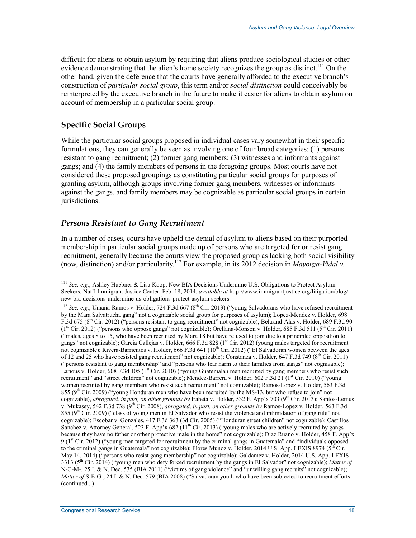difficult for aliens to obtain asylum by requiring that aliens produce sociological studies or other evidence demonstrating that the alien's home society recognizes the group as distinct.<sup>111</sup> On the other hand, given the deference that the courts have generally afforded to the executive branch's construction of *particular social group*, this term and/or *social distinction* could conceivably be reinterpreted by the executive branch in the future to make it easier for aliens to obtain asylum on account of membership in a particular social group.

## **Specific Social Groups**

1

While the particular social groups proposed in individual cases vary somewhat in their specific formulations, they can generally be seen as involving one of four broad categories: (1) persons resistant to gang recruitment; (2) former gang members; (3) witnesses and informants against gangs; and (4) the family members of persons in the foregoing groups. Most courts have not considered these proposed groupings as constituting particular social groups for purposes of granting asylum, although groups involving former gang members, witnesses or informants against the gangs, and family members may be cognizable as particular social groups in certain jurisdictions.

### *Persons Resistant to Gang Recruitment*

In a number of cases, courts have upheld the denial of asylum to aliens based on their purported membership in particular social groups made up of persons who are targeted for or resist gang recruitment, generally because the courts view the proposed group as lacking both social visibility (now, distinction) and/or particularity.112 For example, in its 2012 decision in *Mayorga-Vidal v.* 

<sup>111</sup> *See, e.g.*, Ashley Huebner & Lisa Koop, New BIA Decisions Undermine U.S. Obligations to Protect Asylum Seekers, Nat'l Immigrant Justice Center, Feb. 18, 2014, *available at* http://www.immigrantjustice.org/litigation/blog/ new-bia-decisions-undermine-us-obligations-protect-asylum-seekers.

<sup>&</sup>lt;sup>112</sup> *See, e.g.*, Umaña-Ramos v. Holder, 724 F.3d 667 (8<sup>th</sup> Cir. 2013) ("young Salvadorans who have refused recruitment by the Mara Salvatrucha gang" not a cognizable social group for purposes of asylum); Lopez-Mendez v. Holder, 698 F.3d 675 (8th Cir. 2012) ("persons resistant to gang recruitment" not cognizable); Beltrand-Alas v. Holder, 689 F.3d 90  $(1<sup>st</sup> Cir. 2012)$  ("persons who oppose gangs" not cognizable); Orellana-Monson v. Holder, 685 F.3d 511 (5<sup>th</sup> Cir. 2011) ("males, ages 8 to 15, who have been recruited by Mara 18 but have refused to join due to a principled opposition to gangs" not cognizable); Garcia Callejas v. Holder, 666 F.3d 828 ( $1<sup>st</sup>$  Cir. 2012) (young males targeted for recruitment not cognizable); Rivera-Barrientos v. Holder, 666 F.3d 641 ( $10^{th}$  Cir. 2012) ("El Salvadoran women between the ages of 12 and 25 who have resisted gang recruitment" not cognizable); Constanza v. Holder, 647 F.3d 749 ( $8^{th}$  Cir. 2011) ("persons resistant to gang membership" and "persons who fear harm to their families from gangs" not cognizable); Larious v. Holder, 608 F.3d 105 (1<sup>st</sup> Cir. 2010) ("young Guatemalan men recruited by gang members who resist such recruitment" and "street children" not cognizable); Mendez-Barrera v. Holder, 602 F.3d 21 (1<sup>st</sup> Cir. 2010) ("young women recruited by gang members who resist such recruitment" not cognizable); Ramos-Lopez v. Holder, 563 F.3d 855 (9<sup>th</sup> Cir. 2009) ("young Honduran men who have been recruited by the MS-13, but who refuse to join" not cognizable), *abrogated, in part, on other grounds by* Iraheta v. Holder, 532 F. App'x 703 (9<sup>th</sup> Cir. 2013); Santos-Lemus v. Mukasey, 542 F.3d 738 (9th Cir. 2008), *abrogated, in part, on other grounds by* Ramos-Lopez v. Holder, 563 F.3d 855 (9<sup>th</sup> Cir. 2009) ("class of young men in El Salvador who resist the violence and intimidation of gang rule" not cognizable); Escobar v. Gonzales, 417 F.3d 363 (3d Cir. 2005) ("Honduran street children" not cognizable); Castillos Sanchez v. Attorney General, 523 F. App'x 682 (11<sup>th</sup> Cir. 2013) ("young males who are actively recruited by gangs because they have no father or other protective male in the home" not cognizable); Diaz Ruano v. Holder, 458 F. App'x 9 ( $1<sup>st</sup> Cir. 2012$ ) ("young men targeted for recruitment by the criminal gangs in Guatemala" and "individuals opposed to the criminal gangs in Guatemala" not cognizable); Flores Munoz v. Holder, 2014 U.S. App. LEXIS 8974 ( $5<sup>th</sup>$  Cir. May 14, 2014) ("persons who resist gang membership" not cognizable); Galdamez v. Holder, 2014 U.S. App. LEXIS 3313 (5th Cir. 2014) ("young men who defy forced recruitment by the gangs in El Salvador" not cognizable); *Matter of*  N-C-M-, 25 I. & N. Dec. 535 (BIA 2011) ("victims of gang violence" and "unwilling gang recruits" not cognizable); *Matter of* S-E-G-, 24 I. & N. Dec. 579 (BIA 2008) ("Salvadoran youth who have been subjected to recruitment efforts (continued...)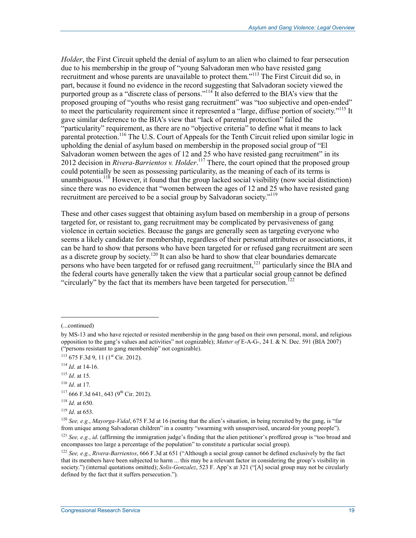*Holder*, the First Circuit upheld the denial of asylum to an alien who claimed to fear persecution due to his membership in the group of "young Salvadoran men who have resisted gang recruitment and whose parents are unavailable to protect them."<sup>113</sup> The First Circuit did so, in part, because it found no evidence in the record suggesting that Salvadoran society viewed the purported group as a "discrete class of persons."<sup>114</sup> It also deferred to the BIA's view that the proposed grouping of "youths who resist gang recruitment" was "too subjective and open-ended" to meet the particularity requirement since it represented a "large, diffuse portion of society."<sup>115</sup> It gave similar deference to the BIA's view that "lack of parental protection" failed the "particularity" requirement, as there are no "objective criteria" to define what it means to lack parental protection.<sup>116</sup> The U.S. Court of Appeals for the Tenth Circuit relied upon similar logic in upholding the denial of asylum based on membership in the proposed social group of "El Salvadoran women between the ages of 12 and 25 who have resisted gang recruitment" in its 2012 decision in *Rivera-Barrientos v. Holder*. 117 There, the court opined that the proposed group could potentially be seen as possessing particularity, as the meaning of each of its terms is unambiguous.<sup>118</sup> However, it found that the group lacked social visibility (now social distinction) since there was no evidence that "women between the ages of 12 and 25 who have resisted gang recruitment are perceived to be a social group by Salvadoran society."<sup>119</sup>

These and other cases suggest that obtaining asylum based on membership in a group of persons targeted for, or resistant to, gang recruitment may be complicated by pervasiveness of gang violence in certain societies. Because the gangs are generally seen as targeting everyone who seems a likely candidate for membership, regardless of their personal attributes or associations, it can be hard to show that persons who have been targeted for or refused gang recruitment are seen as a discrete group by society.<sup>120</sup> It can also be hard to show that clear boundaries demarcate persons who have been targeted for or refused gang recruitment,<sup>121</sup> particularly since the BIA and the federal courts have generally taken the view that a particular social group cannot be defined "circularly" by the fact that its members have been targeted for persecution.<sup>122</sup>

 $\overline{a}$ 

<sup>(...</sup>continued)

by MS-13 and who have rejected or resisted membership in the gang based on their own personal, moral, and religious opposition to the gang's values and activities" not cognizable); *Matter of* E-A-G-, 24 I. & N. Dec. 591 (BIA 2007) ("persons resistant to gang membership" not cognizable).

 $113$  675 F.3d 9, 11 ( $1$ <sup>st</sup> Cir. 2012).

<sup>114</sup> *Id*. at 14-16.

<sup>115</sup> *Id*. at 15.

<sup>116</sup> *Id*. at 17.

 $117666$  F.3d 641, 643 (9<sup>th</sup> Cir. 2012).

<sup>118</sup> *Id*. at 650.

<sup>119</sup> *Id*. at 653.

<sup>120</sup> *See, e.g.*, *Mayorga-Vidal*, 675 F.3d at 16 (noting that the alien's situation, in being recruited by the gang, is "far from unique among Salvadoran children" in a country "swarming with unsupervised, uncared-for young people").

<sup>&</sup>lt;sup>121</sup> *See, e.g., id.* (affirming the immigration judge's finding that the alien petitioner's proffered group is "too broad and encompasses too large a percentage of the population" to constitute a particular social group).

<sup>122</sup> *See, e.g.*, *Rivera-Barrientos*, 666 F.3d at 651 ("Although a social group cannot be defined exclusively by the fact that its members have been subjected to harm ... this may be a relevant factor in considering the group's visibility in society.") (internal quotations omitted); *Solis-Gonzalez*, 523 F. App'x at 321 ("[A] social group may not be circularly defined by the fact that it suffers persecution.").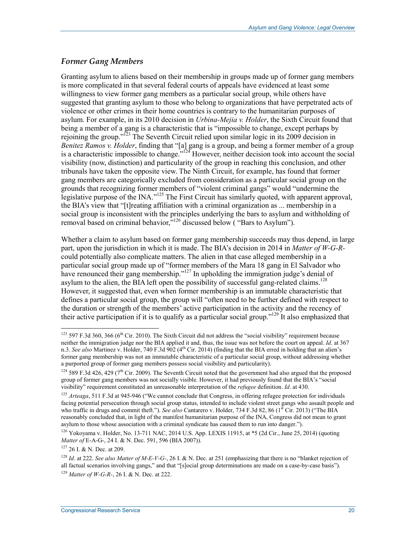## *Former Gang Members*

Granting asylum to aliens based on their membership in groups made up of former gang members is more complicated in that several federal courts of appeals have evidenced at least some willingness to view former gang members as a particular social group, while others have suggested that granting asylum to those who belong to organizations that have perpetrated acts of violence or other crimes in their home countries is contrary to the humanitarian purposes of asylum. For example, in its 2010 decision in *Urbina-Mejia v. Holder*, the Sixth Circuit found that being a member of a gang is a characteristic that is "impossible to change, except perhaps by rejoining the group."<sup>123</sup> The Seventh Circuit relied upon similar logic in its 2009 decision in *Benitez Ramos v. Holder*, finding that "[a] gang is a group, and being a former member of a group is a characteristic impossible to change."124 However, neither decision took into account the social visibility (now, distinction) and particularity of the group in reaching this conclusion, and other tribunals have taken the opposite view. The Ninth Circuit, for example, has found that former gang members are categorically excluded from consideration as a particular social group on the grounds that recognizing former members of "violent criminal gangs" would "undermine the legislative purpose of the INA."<sup>125</sup> The First Circuit has similarly quoted, with apparent approval, the BIA's view that "[t]reating affiliation with a criminal organization as ... membership in a social group is inconsistent with the principles underlying the bars to asylum and withholding of removal based on criminal behavior,"126 discussed below ( "Bars to Asylum").

Whether a claim to asylum based on former gang membership succeeds may thus depend, in large part, upon the jurisdiction in which it is made. The BIA's decision in 2014 in *Matter of W-G-R*could potentially also complicate matters. The alien in that case alleged membership in a particular social group made up of "former members of the Mara 18 gang in El Salvador who have renounced their gang membership."<sup>127</sup> In upholding the immigration judge's denial of asylum to the alien, the BIA left open the possibility of successful gang-related claims.<sup>128</sup> However, it suggested that, even when former membership is an immutable characteristic that defines a particular social group, the group will "often need to be further defined with respect to the duration or strength of the members' active participation in the activity and the recency of their active participation if it is to qualify as a particular social group."129 It also emphasized that

<u>.</u>

 $123$  597 F.3d 360, 366 (6<sup>th</sup> Cir. 2010). The Sixth Circuit did not address the "social visibility" requirement because neither the immigration judge nor the BIA applied it and, thus, the issue was not before the court on appeal. *Id*. at 367 n.3. See also Martinez v. Holder, 740 F.3d 902 (4<sup>th</sup> Cir. 2014) (finding that the BIA erred in holding that an alien's former gang membership was not an immutable characteristic of a particular social group, without addressing whether a purported group of former gang members possess social visibility and particularity).

 $124$  589 F.3d 426, 429 (7<sup>th</sup> Cir. 2009). The Seventh Circuit noted that the government had also argued that the proposed group of former gang members was not socially visible. However, it had previously found that the BIA's "social visibility" requirement constituted an unreasonable interpretation of the *refugee* definition. *Id*. at 430.

<sup>&</sup>lt;sup>125</sup> *Arteaga*, 511 F.3d at 945-946 ("We cannot conclude that Congress, in offering refugee protection for individuals facing potential persecution through social group status, intended to include violent street gangs who assault people and who traffic in drugs and commit theft."). *See also* Cantarero v. Holder, 734 F.3d 82, 86 (1<sup>st</sup> Cir. 2013) ("The BIA reasonably concluded that, in light of the manifest humanitarian purpose of the INA, Congress did not mean to grant asylum to those whose association with a criminal syndicate has caused them to run into danger.").

<sup>126</sup> Yokoyama v. Holder, No. 13-711 NAC, 2014 U.S. App. LEXIS 11915, at \*5 (2d Cir., June 25, 2014) (quoting *Matter of* E-A-G-, 24 I. & N. Dec. 591, 596 (BIA 2007)).

<sup>127 26</sup> I. & N. Dec. at 209.

<sup>128</sup> *Id*. at 222. *See also Matter of M-E-V-G-*, 26 I. & N. Dec. at 251 (emphasizing that there is no "blanket rejection of all factual scenarios involving gangs," and that "[s]ocial group determinations are made on a case-by-case basis"). <sup>129</sup> *Matter of W-G-R-*, 26 I. & N. Dec. at 222.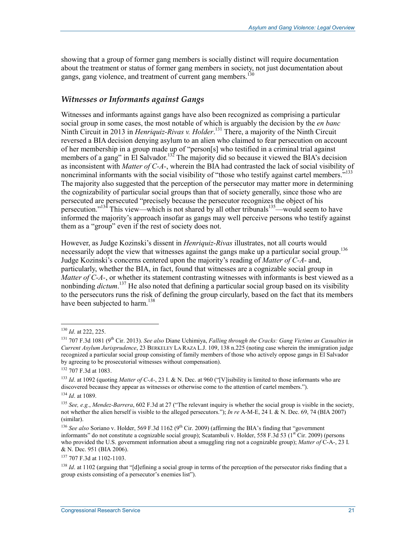showing that a group of former gang members is socially distinct will require documentation about the treatment or status of former gang members in society, not just documentation about gangs, gang violence, and treatment of current gang members.<sup>130</sup>

### *Witnesses or Informants against Gangs*

Witnesses and informants against gangs have also been recognized as comprising a particular social group in some cases, the most notable of which is arguably the decision by the *en banc*  Ninth Circuit in 2013 in *Henriquiz-Rivas v. Holder*. 131 There, a majority of the Ninth Circuit reversed a BIA decision denying asylum to an alien who claimed to fear persecution on account of her membership in a group made up of "person[s] who testified in a criminal trial against members of a gang" in El Salvador.<sup>132</sup> The majority did so because it viewed the BIA's decision as inconsistent with *Matter of C-A-*, wherein the BIA had contrasted the lack of social visibility of noncriminal informants with the social visibility of "those who testify against cartel members."<sup>133</sup> The majority also suggested that the perception of the persecutor may matter more in determining the cognizability of particular social groups than that of society generally, since those who are persecuted are persecuted "precisely because the persecutor recognizes the object of his persecution."<sup>134</sup> This view—which is not shared by all other tribunals<sup>135</sup>—would seem to have informed the majority's approach insofar as gangs may well perceive persons who testify against them as a "group" even if the rest of society does not.

However, as Judge Kozinski's dissent in *Henriquiz-Rivas* illustrates, not all courts would necessarily adopt the view that witnesses against the gangs make up a particular social group.<sup>136</sup> Judge Kozinski's concerns centered upon the majority's reading of *Matter of C-A-* and, particularly, whether the BIA, in fact, found that witnesses are a cognizable social group in *Matter of C-A-*, or whether its statement contrasting witnesses with informants is best viewed as a nonbinding *dictum*. 137 He also noted that defining a particular social group based on its visibility to the persecutors runs the risk of defining the group circularly, based on the fact that its members have been subjected to harm.<sup>138</sup>

<u>.</u>

137 707 F.3d at 1102-1103.

<sup>130</sup> *Id*. at 222, 225.

<sup>131 707</sup> F.3d 1081 (9th Cir. 2013). *See also* Diane Uchimiya, *Falling through the Cracks: Gang Victims as Casualties in Current Asylum Jurisprudence*, 23 BERKELEY LA RAZA L.J. 109, 138 n.225 (noting case wherein the immigration judge recognized a particular social group consisting of family members of those who actively oppose gangs in El Salvador by agreeing to be prosecutorial witnesses without compensation).

<sup>132 707</sup> F.3d at 1083.

<sup>133</sup> *Id*. at 1092 (quoting *Matter of C-A-*, 23 I. & N. Dec. at 960 ("[V]isibility is limited to those informants who are discovered because they appear as witnesses or otherwise come to the attention of cartel members.").

<sup>134</sup> *Id*. at 1089.

<sup>135</sup> *See, e.g.*, *Mendez-Barrera*, 602 F.3d at 27 ("The relevant inquiry is whether the social group is visible in the society, not whether the alien herself is visible to the alleged persecutors."); *In re* A-M-E, 24 I. & N. Dec. 69, 74 (BIA 2007) (similar).

<sup>&</sup>lt;sup>136</sup> *See also* Soriano v. Holder, 569 F.3d 1162 (9<sup>th</sup> Cir. 2009) (affirming the BIA's finding that "government" informants" do not constitute a cognizable social group); Scatambuli v. Holder, 558 F.3d 53 ( $1<sup>st</sup> Cir. 2009$ ) (persons who provided the U.S. government information about a smuggling ring not a cognizable group); *Matter of* C-A-, 23 I. & N. Dec. 951 (BIA 2006).

<sup>&</sup>lt;sup>138</sup> *Id.* at 1102 (arguing that "[d]efining a social group in terms of the perception of the persecutor risks finding that a group exists consisting of a persecutor's enemies list").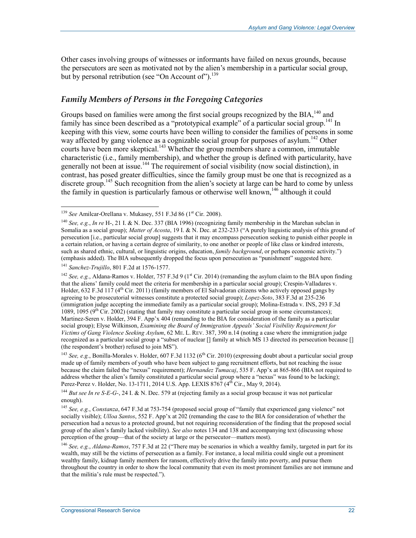Other cases involving groups of witnesses or informants have failed on nexus grounds, because the persecutors are seen as motivated not by the alien's membership in a particular social group, but by personal retribution (see "On Account of").<sup>139</sup>

### *Family Members of Persons in the Foregoing Categories*

Groups based on families were among the first social groups recognized by the BIA,<sup>140</sup> and family has since been described as a "prototypical example" of a particular social group.<sup>141</sup> In keeping with this view, some courts have been willing to consider the families of persons in some way affected by gang violence as a cognizable social group for purposes of asylum.<sup>142</sup> Other courts have been more skeptical.<sup>143</sup> Whether the group members share a common, immutable characteristic (i.e., family membership), and whether the group is defined with particularity, have generally not been at issue.<sup>144</sup> The requirement of social visibility (now social distinction), in contrast, has posed greater difficulties, since the family group must be one that is recognized as a discrete group.<sup>145</sup> Such recognition from the alien's society at large can be hard to come by unless the family in question is particularly famous or otherwise well known.<sup>146</sup> although it could

<sup>&</sup>lt;u>.</u> <sup>139</sup> *See* Amilcar-Orellana v. Mukasey, 551 F.3d 86 (1<sup>st</sup> Cir. 2008).

<sup>140</sup> *See, e.g.*, *In re* H-, 21 I. & N. Dec. 337 (BIA 1996) (recognizing family membership in the Marehan subclan in Somalia as a social group); *Matter of Acosta*, 19 I. & N. Dec. at 232-233 ("A purely linguistic analysis of this ground of persecution [i.e., particular social group] suggests that it may encompass persecution seeking to punish either people in a certain relation, or having a certain degree of similarity, to one another or people of like class or kindred interests, such as shared ethnic, cultural, or linguistic origins, education, *family background*, or perhaps economic activity.") (emphasis added). The BIA subsequently dropped the focus upon persecution as "punishment" suggested here.

<sup>141</sup> *Sanchez-Trujillo*, 801 F.2d at 1576-1577.

<sup>&</sup>lt;sup>142</sup> See, e.g., Aldana-Ramos v. Holder, 757 F.3d 9 (1<sup>st</sup> Cir. 2014) (remanding the asylum claim to the BIA upon finding that the aliens' family could meet the criteria for membership in a particular social group); Crespin-Valladares v. Holder,  $632$  F.3d 117 ( $4<sup>th</sup>$  Cir. 2011) (family members of El Salvadoran citizens who actively opposed gangs by agreeing to be prosecutorial witnesses constitute a protected social group); *Lopez-Soto*, 383 F.3d at 235-236 (immigration judge accepting the immediate family as a particular social group); Molina-Estrada v. INS, 293 F.3d 1089, 1095 (9<sup>th</sup> Cir. 2002) (stating that family may constitute a particular social group in some circumstances); Martinez-Seren v. Holder, 394 F. App'x 404 (remanding to the BIA for consideration of the family as a particular social group); Elyse Wilkinson, *Examining the Board of Immigration Appeals' Social Visibility Requirement for Victims of Gang Violence Seeking Asylum*, 62 ME. L. REV. 387, 390 n.14 (noting a case where the immigration judge recognized as a particular social group a "subset of nuclear [] family at which MS 13 directed its persecution because [] (the respondent's brother) refused to join MS").

<sup>&</sup>lt;sup>143</sup> See, e.g., Bonilla-Morales v. Holder, 607 F.3d 1132 (6<sup>th</sup> Cir. 2010) (expressing doubt about a particular social group made up of family members of youth who have been subject to gang recruitment efforts, but not reaching the issue because the claim failed the "nexus" requirement); *Hernandez Tumacaj*, 535 F. App'x at 865-866 (BIA not required to address whether the alien's family constituted a particular social group where a "nexus" was found to be lacking); Perez-Perez v. Holder, No. 13-1711, 2014 U.S. App. LEXIS 8767 (4<sup>th</sup> Cir., May 9, 2014).

<sup>&</sup>lt;sup>144</sup> *But see In re S-E-G-*, 24 I. & N. Dec. 579 at (rejecting family as a social group because it was not particular enough).

<sup>145</sup> *See, e.g.*, *Constanza*, 647 F.3d at 753-754 (proposed social group of "family that experienced gang violence" not socially visible); *Ulloa Santos*, 552 F. App'x at 202 (remanding the case to the BIA for consideration of whether the persecution had a nexus to a protected ground, but not requiring reconsideration of the finding that the proposed social group of the alien's family lacked visibility). *See also* notes 134 and 138 and accompanying text (discussing whose perception of the group—that of the society at large or the persecutor—matters most).

<sup>146</sup> *See, e.g.*, *Aldana-Ramos*, 757 F.3d at 22 ("There may be scenarios in which a wealthy family, targeted in part for its wealth, may still be the victims of persecution as a family. For instance, a local militia could single out a prominent wealthy family, kidnap family members for ransom, effectively drive the family into poverty, and pursue them throughout the country in order to show the local community that even its most prominent families are not immune and that the militia's rule must be respected.").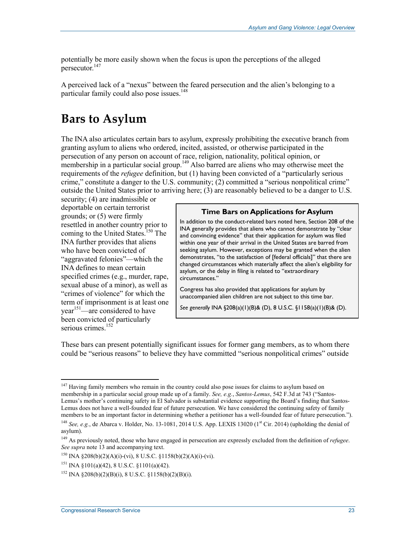potentially be more easily shown when the focus is upon the perceptions of the alleged persecutor.147

A perceived lack of a "nexus" between the feared persecution and the alien's belonging to a particular family could also pose issues.<sup>148</sup>

## **Bars to Asylum**

The INA also articulates certain bars to asylum, expressly prohibiting the executive branch from granting asylum to aliens who ordered, incited, assisted, or otherwise participated in the persecution of any person on account of race, religion, nationality, political opinion, or membership in a particular social group.<sup>149</sup> Also barred are aliens who may otherwise meet the requirements of the *refugee* definition, but (1) having been convicted of a "particularly serious crime," constitute a danger to the U.S. community; (2) committed a "serious nonpolitical crime" outside the United States prior to arriving here; (3) are reasonably believed to be a danger to U.S.

security; (4) are inadmissible or deportable on certain terrorist grounds; or (5) were firmly resettled in another country prior to coming to the United States.<sup>150</sup> The INA further provides that aliens who have been convicted of "aggravated felonies"—which the INA defines to mean certain specified crimes (e.g., murder, rape, sexual abuse of a minor), as well as "crimes of violence" for which the term of imprisonment is at least one  $year<sup>151</sup>—are considered to have$ been convicted of particularly serious crimes.<sup>152</sup>

#### **Time Bars on Applications for Asylum**

In addition to the conduct-related bars noted here, Section 208 of the INA generally provides that aliens who cannot demonstrate by "clear and convincing evidence" that their application for asylum was filed within one year of their arrival in the United States are barred from seeking asylum. However, exceptions may be granted when the alien demonstrates, "to the satisfaction of [federal officials]" that there are changed circumstances which materially affect the alien's eligibility for asylum, or the delay in filing is related to "extraordinary circumstances."

Congress has also provided that applications for asylum by unaccompanied alien children are not subject to this time bar.

*See generally* INA §208(a)(1)(B)& (D), 8 U.S.C. §1158(a)(1)(B)& (D).

These bars can present potentially significant issues for former gang members, as to whom there could be "serious reasons" to believe they have committed "serious nonpolitical crimes" outside

<sup>&</sup>lt;sup>147</sup> Having family members who remain in the country could also pose issues for claims to asylum based on membership in a particular social group made up of a family. *See, e.g.*, *Santos-Lemus*, 542 F.3d at 743 ("Santos-Lemus's mother's continuing safety in El Salvador is substantial evidence supporting the Board's finding that Santos-Lemus does not have a well-founded fear of future persecution. We have considered the continuing safety of family members to be an important factor in determining whether a petitioner has a well-founded fear of future persecution.").

<sup>&</sup>lt;sup>148</sup> *See, e.g.*, de Abarca v. Holder, No. 13-1081, 2014 U.S. App. LEXIS 13020 (1<sup>st</sup> Cir. 2014) (upholding the denial of asylum).

<sup>149</sup> As previously noted, those who have engaged in persecution are expressly excluded from the definition of *refugee*. *See supra* note 13 and accompanying text.

<sup>150</sup> INA §208(b)(2)(A)(i)-(vi), 8 U.S.C. §1158(b)(2)(A)(i)-(vi).

<sup>&</sup>lt;sup>151</sup> INA §101(a)(42), 8 U.S.C. §1101(a)(42).

<sup>&</sup>lt;sup>152</sup> INA §208(b)(2)(B)(i), 8 U.S.C. §1158(b)(2)(B)(i).